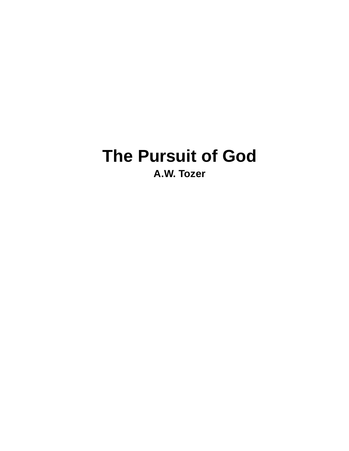# **The Pursuit of God A.W. Tozer**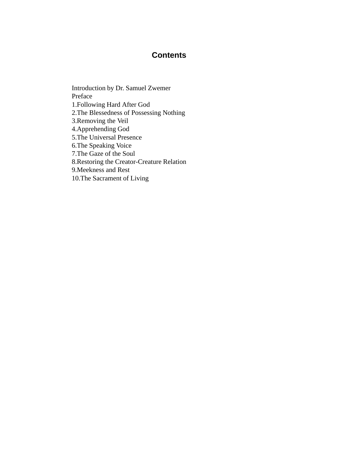#### **Contents**

Introduction by Dr. Samuel Zwemer Preface 1.Following Hard After God 2.The Blessedness of Possessing Nothing 3.Removing the Veil 4.Apprehending God 5.The Universal Presence 6.The Speaking Voice 7.The Gaze of the Soul 8.Restoring the Creator-Creature Relation 9.Meekness and Rest 10.The Sacrament of Living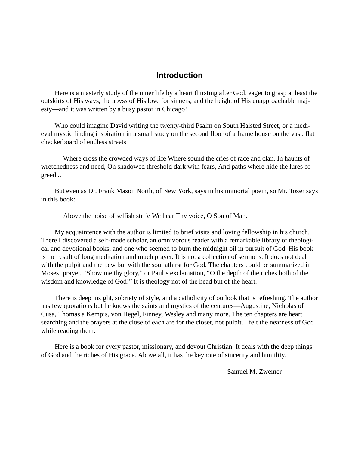#### **Introduction**

Here is a masterly study of the inner life by a heart thirsting after God, eager to grasp at least the outskirts of His ways, the abyss of His love for sinners, and the height of His unapproachable majesty—and it was written by a busy pastor in Chicago!

Who could imagine David writing the twenty-third Psalm on South Halsted Street, or a medieval mystic finding inspiration in a small study on the second floor of a frame house on the vast, flat checkerboard of endless streets

 Where cross the crowded ways of life Where sound the cries of race and clan, In haunts of wretchedness and need, On shadowed threshold dark with fears, And paths where hide the lures of greed...

But even as Dr. Frank Mason North, of New York, says in his immortal poem, so Mr. Tozer says in this book:

Above the noise of selfish strife We hear Thy voice, O Son of Man.

My acquaintence with the author is limited to brief visits and loving fellowship in his church. There I discovered a self-made scholar, an omnivorous reader with a remarkable library of theological and devotional books, and one who seemed to burn the midnight oil in pursuit of God. His book is the result of long meditation and much prayer. It is not a collection of sermons. It does not deal with the pulpit and the pew but with the soul athirst for God. The chapters could be summarized in Moses' prayer, "Show me thy glory," or Paul's exclamation, "O the depth of the riches both of the wisdom and knowledge of God!" It is theology not of the head but of the heart.

There is deep insight, sobriety of style, and a catholicity of outlook that is refreshing. The author has few quotations but he knows the saints and mystics of the centures—Augustine, Nicholas of Cusa, Thomas a Kempis, von Hegel, Finney, Wesley and many more. The ten chapters are heart searching and the prayers at the close of each are for the closet, not pulpit. I felt the nearness of God while reading them.

Here is a book for every pastor, missionary, and devout Christian. It deals with the deep things of God and the riches of His grace. Above all, it has the keynote of sincerity and humility.

Samuel M. Zwemer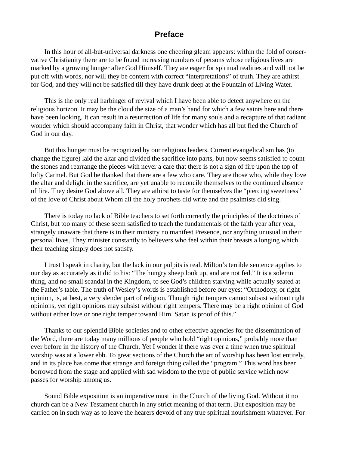#### **Preface**

In this hour of all-but-universal darkness one cheering gleam appears: within the fold of conservative Christianity there are to be found increasing numbers of persons whose religious lives are marked by a growing hunger after God Himself. They are eager for spiritual realities and will not be put off with words, nor will they be content with correct "interpretations" of truth. They are athirst for God, and they will not be satisfied till they have drunk deep at the Fountain of Living Water.

This is the only real harbinger of revival which I have been able to detect anywhere on the religious horizon. It may be the cloud the size of a man's hand for which a few saints here and there have been looking. It can result in a resurrection of life for many souls and a recapture of that radiant wonder which should accompany faith in Christ, that wonder which has all but fled the Church of God in our day.

But this hunger must be recognized by our religious leaders. Current evangelicalism has (to change the figure) laid the altar and divided the sacrifice into parts, but now seems satisfied to count the stones and rearrange the pieces with never a care that there is not a sign of fire upon the top of lofty Carmel. But God be thanked that there are a few who care. They are those who, while they love the altar and delight in the sacrifice, are yet unable to reconcile themselves to the continued absence of fire. They desire God above all. They are athirst to taste for themselves the "piercing sweetness" of the love of Christ about Whom all the holy prophets did write and the psalmists did sing.

There is today no lack of Bible teachers to set forth correctly the principles of the doctrines of Christ, but too many of these seem satisfied to teach the fundamentals of the faith year after year, strangely unaware that there is in their ministry no manifest Presence, nor anything unusual in their personal lives. They minister constantly to believers who feel within their breasts a longing which their teaching simply does not satisfy.

I trust I speak in charity, but the lack in our pulpits is real. Milton's terrible sentence applies to our day as accurately as it did to his: "The hungry sheep look up, and are not fed." It is a solemn thing, and no small scandal in the Kingdom, to see God's children starving while actually seated at the Father's table. The truth of Wesley's words is established before our eyes: "Orthodoxy, or right opinion, is, at best, a very slender part of religion. Though right tempers cannot subsist without right opinions, yet right opinions may subsist without right tempers. There may be a right opinion of God without either love or one right temper toward Him. Satan is proof of this."

Thanks to our splendid Bible societies and to other effective agencies for the dissemination of the Word, there are today many millions of people who hold "right opinions," probably more than ever before in the history of the Church. Yet I wonder if there was ever a time when true spiritual worship was at a lower ebb. To great sections of the Church the art of worship has been lost entirely, and in its place has come that strange and foreign thing called the "program." This word has been borrowed from the stage and applied with sad wisdom to the type of public service which now passes for worship among us.

Sound Bible exposition is an imperative must in the Church of the living God. Without it no church can be a New Testament church in any strict meaning of that term. But exposition may be carried on in such way as to leave the hearers devoid of any true spiritual nourishment whatever. For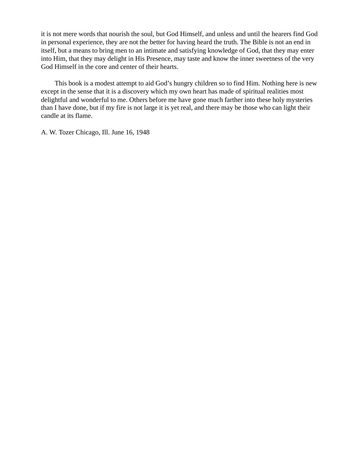it is not mere words that nourish the soul, but God Himself, and unless and until the hearers find God in personal experience, they are not the better for having heard the truth. The Bible is not an end in itself, but a means to bring men to an intimate and satisfying knowledge of God, that they may enter into Him, that they may delight in His Presence, may taste and know the inner sweetness of the very God Himself in the core and center of their hearts.

This book is a modest attempt to aid God's hungry children so to find Him. Nothing here is new except in the sense that it is a discovery which my own heart has made of spiritual realities most delightful and wonderful to me. Others before me have gone much farther into these holy mysteries than I have done, but if my fire is not large it is yet real, and there may be those who can light their candle at its flame.

A. W. Tozer Chicago, Ill. June 16, 1948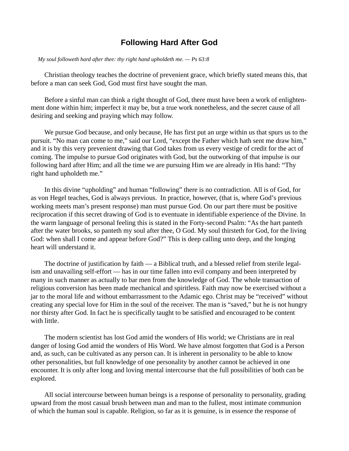#### **Following Hard After God**

 *My soul followeth hard after thee: thy right hand upholdeth me. — Ps 63:8*

Christian theology teaches the doctrine of prevenient grace, which briefly stated means this, that before a man can seek God, God must first have sought the man.

Before a sinful man can think a right thought of God, there must have been a work of enlightenment done within him; imperfect it may be, but a true work nonetheless, and the secret cause of all desiring and seeking and praying which may follow.

We pursue God because, and only because, He has first put an urge within us that spurs us to the pursuit. "No man can come to me," said our Lord, "except the Father which hath sent me draw him," and it is by this very prevenient drawing that God takes from us every vestige of credit for the act of coming. The impulse to pursue God originates with God, but the outworking of that impulse is our following hard after Him; and all the time we are pursuing Him we are already in His hand: "Thy right hand upholdeth me."

In this divine "upholding" and human "following" there is no contradiction. All is of God, for as von Hegel teaches, God is always previous. In practice, however, (that is, where God's previous working meets man's present response) man must pursue God. On our part there must be positive reciprocation if this secret drawing of God is to eventuate in identifiable experience of the Divine. In the warm language of personal feeling this is stated in the Forty-second Psalm: "As the hart panteth after the water brooks, so panteth my soul after thee, O God. My soul thirsteth for God, for the living God: when shall I come and appear before God?" This is deep calling unto deep, and the longing heart will understand it.

The doctrine of justification by faith — a Biblical truth, and a blessed relief from sterile legalism and unavailing self-effort — has in our time fallen into evil company and been interpreted by many in such manner as actually to bar men from the knowledge of God. The whole transaction of religious conversion has been made mechanical and spiritless. Faith may now be exercised without a jar to the moral life and without embarrassment to the Adamic ego. Christ may be "received" without creating any special love for Him in the soul of the receiver. The man is "saved," but he is not hungry nor thirsty after God. In fact he is specifically taught to be satisfied and encouraged to be content with little.

The modern scientist has lost God amid the wonders of His world; we Christians are in real danger of losing God amid the wonders of His Word. We have almost forgotten that God is a Person and, as such, can be cultivated as any person can. It is inherent in personality to be able to know other personalities, but full knowledge of one personality by another cannot be achieved in one encounter. It is only after long and loving mental intercourse that the full possibilities of both can be explored.

All social intercourse between human beings is a response of personality to personality, grading upward from the most casual brush between man and man to the fullest, most intimate communion of which the human soul is capable. Religion, so far as it is genuine, is in essence the response of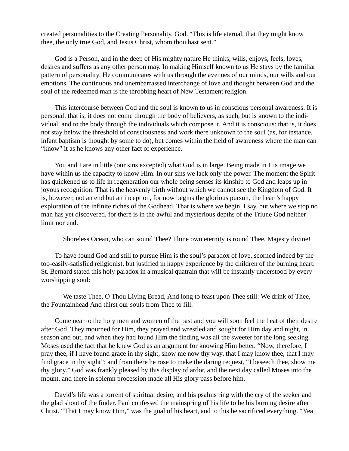created personalities to the Creating Personality, God. "This is life eternal, that they might know thee, the only true God, and Jesus Christ, whom thou hast sent."

God is a Person, and in the deep of His mighty nature He thinks, wills, enjoys, feels, loves, desires and suffers as any other person may. In making Himself known to us He stays by the familiar pattern of personality. He communicates with us through the avenues of our minds, our wills and our emotions. The continuous and unembarrassed interchange of love and thought between God and the soul of the redeemed man is the throbbing heart of New Testament religion.

This intercourse between God and the soul is known to us in conscious personal awareness. It is personal: that is, it does not come through the body of believers, as such, but is known to the individual, and to the body through the individuals which compose it. And it is conscious: that is, it does not stay below the threshold of consciousness and work there unknown to the soul (as, for instance, infant baptism is thought by some to do), but comes within the field of awareness where the man can "know" it as he knows any other fact of experience.

You and I are in little (our sins excepted) what God is in large. Being made in His image we have within us the capacity to know Him. In our sins we lack only the power. The moment the Spirit has quickened us to life in regeneration our whole being senses its kinship to God and leaps up in joyous recognition. That is the heavenly birth without which we cannot see the Kingdom of God. It is, however, not an end but an inception, for now begins the glorious pursuit, the heart's happy exploration of the infinite riches of the Godhead. That is where we begin, I say, but where we stop no man has yet discovered, for there is in the awful and mysterious depths of the Triune God neither limit nor end.

Shoreless Ocean, who can sound Thee? Thine own eternity is round Thee, Majesty divine!

To have found God and still to pursue Him is the soul's paradox of love, scorned indeed by the too-easily-satisfied religionist, but justified in happy experience by the children of the burning heart. St. Bernard stated this holy paradox in a musical quatrain that will be instantly understood by every worshipping soul:

 We taste Thee, O Thou Living Bread, And long to feast upon Thee still: We drink of Thee, the Fountainhead And thirst our souls from Thee to fill.

Come near to the holy men and women of the past and you will soon feel the heat of their desire after God. They mourned for Him, they prayed and wrestled and sought for Him day and night, in season and out, and when they had found Him the finding was all the sweeter for the long seeking. Moses used the fact that he knew God as an argument for knowing Him better. "Now, therefore, I pray thee, if I have found grace in thy sight, show me now thy way, that I may know thee, that I may find grace in thy sight"; and from there he rose to make the daring request, "I beseech thee, show me thy glory." God was frankly pleased by this display of ardor, and the next day called Moses into the mount, and there in solemn procession made all His glory pass before him.

David's life was a torrent of spiritual desire, and his psalms ring with the cry of the seeker and the glad shout of the finder. Paul confessed the mainspring of his life to be his burning desire after Christ. "That I may know Him," was the goal of his heart, and to this he sacrificed everything. "Yea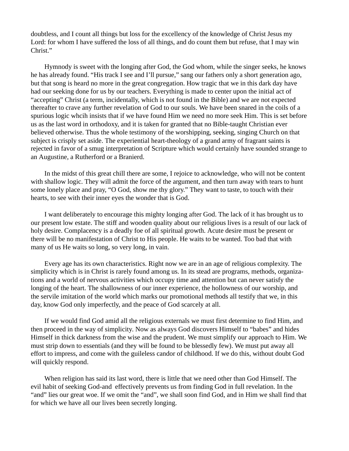doubtless, and I count all things but loss for the excellency of the knowledge of Christ Jesus my Lord: for whom I have suffered the loss of all things, and do count them but refuse, that I may win Christ."

Hymnody is sweet with the longing after God, the God whom, while the singer seeks, he knows he has already found. "His track I see and I'll pursue," sang our fathers only a short generation ago, but that song is heard no more in the great congregation. How tragic that we in this dark day have had our seeking done for us by our teachers. Everything is made to center upon the initial act of "accepting" Christ (a term, incidentally, which is not found in the Bible) and we are not expected thereafter to crave any further revelation of God to our souls. We have been snared in the coils of a spurious logic whcih insists that if we have found Him we need no more seek Him. This is set before us as the last word in orthodoxy, and it is taken for granted that no Bible-taught Christian ever believed otherwise. Thus the whole testimony of the worshipping, seeking, singing Church on that subject is crisply set aside. The experiential heart-theology of a grand army of fragrant saints is rejected in favor of a smug interpretation of Scripture which would certainly have sounded strange to an Augustine, a Rutherford or a Branierd.

In the midst of this great chill there are some, I rejoice to acknowledge, who will not be content with shallow logic. They will admit the force of the argument, and then turn away with tears to hunt some lonely place and pray, "O God, show me thy glory." They want to taste, to touch with their hearts, to see with their inner eyes the wonder that is God.

I want deliberately to encourage this mighty longing after God. The lack of it has brought us to our present low estate. The stiff and wooden quality about our religious lives is a result of our lack of holy desire. Complacency is a deadly foe of all spiritual growth. Acute desire must be present or there will be no manifestation of Christ to His people. He waits to be wanted. Too bad that with many of us He waits so long, so very long, in vain.

Every age has its own characteristics. Right now we are in an age of religious complexity. The simplicity which is in Christ is rarely found among us. In its stead are programs, methods, organizations and a world of nervous activities which occupy time and attention but can never satisfy the longing of the heart. The shallowness of our inner experience, the hollowness of our worship, and the servile imitation of the world which marks our promotional methods all testify that we, in this day, know God only imperfectly, and the peace of God scarcely at all.

If we would find God amid all the religious externals we must first determine to find Him, and then proceed in the way of simplicity. Now as always God discovers Himself to "babes" and hides Himself in thick darkness from the wise and the prudent. We must simplify our approach to Him. We must strip down to essentials (and they will be found to be blessedly few). We must put away all effort to impress, and come with the guileless candor of childhood. If we do this, without doubt God will quickly respond.

When religion has said its last word, there is little that we need other than God Himself. The evil habit of seeking God-and effectively prevents us from finding God in full revelation. In the "and" lies our great woe. If we omit the "and", we shall soon find God, and in Him we shall find that for which we have all our lives been secretly longing.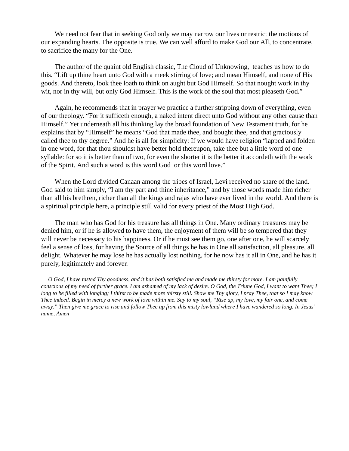We need not fear that in seeking God only we may narrow our lives or restrict the motions of our expanding hearts. The opposite is true. We can well afford to make God our All, to concentrate, to sacrifice the many for the One.

The author of the quaint old English classic, The Cloud of Unknowing, teaches us how to do this. "Lift up thine heart unto God with a meek stirring of love; and mean Himself, and none of His goods. And thereto, look thee loath to think on aught but God Himself. So that nought work in thy wit, nor in thy will, but only God Himself. This is the work of the soul that most pleaseth God."

Again, he recommends that in prayer we practice a further stripping down of everything, even of our theology. "For it sufficeth enough, a naked intent direct unto God without any other cause than Himself." Yet underneath all his thinking lay the broad foundation of New Testament truth, for he explains that by "Himself" he means "God that made thee, and bought thee, and that graciously called thee to thy degree." And he is all for simplicity: If we would have religion "lapped and folden in one word, for that thou shouldst have better hold thereupon, take thee but a little word of one syllable: for so it is better than of two, for even the shorter it is the better it accordeth with the work of the Spirit. And such a word is this word God or this word love."

When the Lord divided Canaan among the tribes of Israel, Levi received no share of the land. God said to him simply, "I am thy part and thine inheritance," and by those words made him richer than all his brethren, richer than all the kings and rajas who have ever lived in the world. And there is a spiritual principle here, a principle still valid for every priest of the Most High God.

The man who has God for his treasure has all things in One. Many ordinary treasures may be denied him, or if he is allowed to have them, the enjoyment of them will be so tempered that they will never be necessary to his happiness. Or if he must see them go, one after one, he will scarcely feel a sense of loss, for having the Source of all things he has in One all satisfaction, all pleasure, all delight. Whatever he may lose he has actually lost nothing, for he now has it all in One, and he has it purely, legitimately and forever.

 *O God, I have tasted Thy goodness, and it has both satisfied me and made me thirsty for more. I am painfully conscious of my need of further grace. I am ashamed of my lack of desire. O God, the Triune God, I want to want Thee; I long to be filled with longing; I thirst to be made more thirsty still. Show me Thy glory, I pray Thee, that so I may know Thee indeed. Begin in mercy a new work of love within me. Say to my soul, "Rise up, my love, my fair one, and come away." Then give me grace to rise and follow Thee up from this misty lowland where I have wandered so long. In Jesus' name, Amen*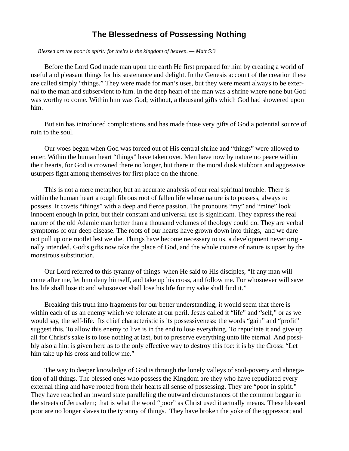#### **The Blessedness of Possessing Nothing**

 *Blessed are the poor in spirit: for theirs is the kingdom of heaven. — Matt 5:3*

Before the Lord God made man upon the earth He first prepared for him by creating a world of useful and pleasant things for his sustenance and delight. In the Genesis account of the creation these are called simply "things." They were made for man's uses, but they were meant always to be external to the man and subservient to him. In the deep heart of the man was a shrine where none but God was worthy to come. Within him was God; without, a thousand gifts which God had showered upon him.

But sin has introduced complications and has made those very gifts of God a potential source of ruin to the soul.

Our woes began when God was forced out of His central shrine and "things" were allowed to enter. Within the human heart "things" have taken over. Men have now by nature no peace within their hearts, for God is crowned there no longer, but there in the moral dusk stubborn and aggressive usurpers fight among themselves for first place on the throne.

This is not a mere metaphor, but an accurate analysis of our real spiritual trouble. There is within the human heart a tough fibrous root of fallen life whose nature is to possess, always to possess. It covets "things" with a deep and fierce passion. The pronouns "my" and "mine" look innocent enough in print, but their constant and universal use is significant. They express the real nature of the old Adamic man better than a thousand volumes of theology could do. They are verbal symptoms of our deep disease. The roots of our hearts have grown down into things, and we dare not pull up one rootlet lest we die. Things have become necessary to us, a development never originally intended. God's gifts now take the place of God, and the whole course of nature is upset by the monstrous substitution.

Our Lord referred to this tyranny of things when He said to His disciples, "If any man will come after me, let him deny himself, and take up his cross, and follow me. For whosoever will save his life shall lose it: and whosoever shall lose his life for my sake shall find it."

Breaking this truth into fragments for our better understanding, it would seem that there is within each of us an enemy which we tolerate at our peril. Jesus called it "life" and "self," or as we would say, the self-life. Its chief characteristic is its possessiveness: the words "gain" and "profit" suggest this. To allow this enemy to live is in the end to lose everything. To repudiate it and give up all for Christ's sake is to lose nothing at last, but to preserve everything unto life eternal. And possibly also a hint is given here as to the only effective way to destroy this foe: it is by the Cross: "Let him take up his cross and follow me."

The way to deeper knowledge of God is through the lonely valleys of soul-poverty and abnegation of all things. The blessed ones who possess the Kingdom are they who have repudiated every external thing and have rooted from their hearts all sense of possessing. They are "poor in spirit." They have reached an inward state paralleling the outward circumstances of the common beggar in the streets of Jerusalem; that is what the word "poor" as Christ used it actually means. These blessed poor are no longer slaves to the tyranny of things. They have broken the yoke of the oppressor; and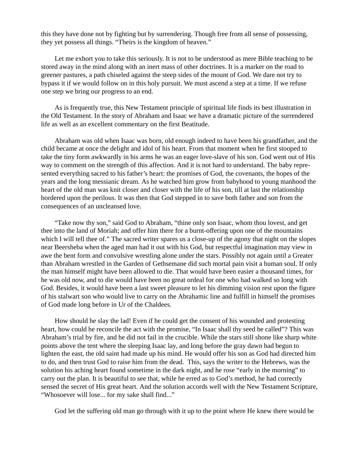this they have done not by fighting but by surrendering. Though free from all sense of possessing, they yet possess all things. "Theirs is the kingdom of heaven."

Let me exhort you to take this seriously. It is not to be understood as mere Bible teaching to be stored away in the mind along with an inert mass of other doctrines. It is a marker on the road to greener pastures, a path chiseled against the steep sides of the mount of God. We dare not try to bypass it if we would follow on in this holy pursuit. We must ascend a step at a time. If we refuse one step we bring our progress to an end.

As is frequently true, this New Testament principle of spiritual life finds its best illustration in the Old Testament. In the story of Abraham and Isaac we have a dramatic picture of the surrendered life as well as an excellent commentary on the first Beatitude.

Abraham was old when Isaac was born, old enough indeed to have been his grandfather, and the child became at once the delight and idol of his heart. From that moment when he first stooped to take the tiny form awkwardly in his arms he was an eager love-slave of his son. God went out of His way to comment on the strength of this affection. And it is not hard to understand. The baby represented everything sacred to his father's heart: the promises of God, the covenants, the hopes of the years and the long messianic dream. As he watched him grow from babyhood to young manhood the heart of the old man was knit closer and closer with the life of his son, till at last the relationship bordered upon the perilous. It was then that God stepped in to save both father and son from the consequences of an uncleansed love.

"Take now thy son," said God to Abraham, "thine only son Isaac, whom thou lovest, and get thee into the land of Moriah; and offer him there for a burnt-offering upon one of the mountains which I will tell thee of." The sacred writer spares us a close-up of the agony that night on the slopes near Beersheba when the aged man had it out with his God, but respectful imagination may view in awe the bent form and convulsive wrestling alone under the stars. Possibly not again until a Greater than Abraham wrestled in the Garden of Gethsemane did such mortal pain visit a human soul. If only the man himself might have been allowed to die. That would have been easier a thousand times, for he was old now, and to die would have been no great ordeal for one who had walked so long with God. Besides, it would have been a last sweet pleasure to let his dimming vision rest upon the figure of his stalwart son who would live to carry on the Abrahamic line and fulfill in himself the promises of God made long before in Ur of the Chaldees.

How should he slay the lad! Even if he could get the consent of his wounded and protesting heart, how could he reconcile the act with the promise, "In Isaac shall thy seed be called"? This was Abraham's trial by fire, and he did not fail in the crucible. While the stars still shone like sharp white points above the tent where the sleeping Isaac lay, and long before the gray dawn had begun to lighten the east, the old saint had made up his mind. He would offer his son as God had directed him to do, and then trust God to raise him from the dead. This, says the writer to the Hebrews, was the solution his aching heart found sometime in the dark night, and he rose "early in the morning" to carry out the plan. It is beautiful to see that, while he erred as to God's method, he had correctly sensed the secret of His great heart. And the solution accords well with the New Testament Scripture, "Whosoever will lose... for my sake shall find..."

God let the suffering old man go through with it up to the point where He knew there would be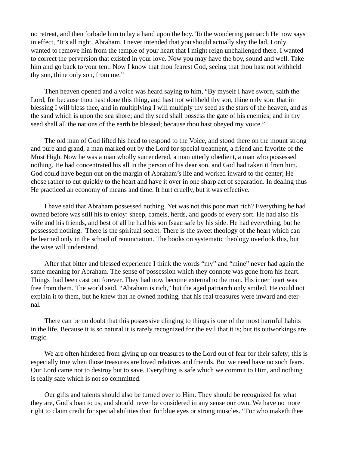no retreat, and then forbade him to lay a hand upon the boy. To the wondering patriarch He now says in effect, "It's all right, Abraham. I never intended that you should actually slay the lad. I only wanted to remove him from the temple of your heart that I might reign unchallenged there. I wanted to correct the perversion that existed in your love. Now you may have the boy, sound and well. Take him and go back to your tent. Now I know that thou fearest God, seeing that thou hast not withheld thy son, thine only son, from me."

Then heaven opened and a voice was heard saying to him, "By myself I have sworn, saith the Lord, for because thou hast done this thing, and hast not withheld thy son, thine only son: that in blessing I will bless thee, and in multiplying I will multiply thy seed as the stars of the heaven, and as the sand which is upon the sea shore; and thy seed shall possess the gate of his enemies; and in thy seed shall all the nations of the earth be blessed; because thou hast obeyed my voice."

The old man of God lifted his head to respond to the Voice, and stood there on the mount strong and pure and grand, a man marked out by the Lord for special treatment, a friend and favorite of the Most High. Now he was a man wholly surrendered, a man utterly obedient, a man who possessed nothing. He had concentrated his all in the person of his dear son, and God had taken it from him. God could have begun out on the margin of Abraham's life and worked inward to the center; He chose rather to cut quickly to the heart and have it over in one sharp act of separation. In dealing thus He practiced an economy of means and time. It hurt cruelly, but it was effective.

I have said that Abraham possessed nothing. Yet was not this poor man rich? Everything he had owned before was still his to enjoy: sheep, camels, herds, and goods of every sort. He had also his wife and his friends, and best of all he had his son Isaac safe by his side. He had everything, but he possessed nothing. There is the spiritual secret. There is the sweet theology of the heart which can be learned only in the school of renunciation. The books on systematic theology overlook this, but the wise will understand.

After that bitter and blessed experience I think the words "my" and "mine" never had again the same meaning for Abraham. The sense of possession which they connote was gone from his heart. Things had been cast out forever. They had now become external to the man. His inner heart was free from them. The world said, "Abraham is rich," but the aged patriarch only smiled. He could not explain it to them, but he knew that he owned nothing, that his real treasures were inward and eternal.

There can be no doubt that this possessive clinging to things is one of the most harmful habits in the life. Because it is so natural it is rarely recognized for the evil that it is; but its outworkings are tragic.

We are often hindered from giving up our treasures to the Lord out of fear for their safety; this is especially true when those treasures are loved relatives and friends. But we need have no such fears. Our Lord came not to destroy but to save. Everything is safe which we commit to Him, and nothing is really safe which is not so committed.

Our gifts and talents should also be turned over to Him. They should be recognized for what they are, God's loan to us, and should never be considered in any sense our own. We have no more right to claim credit for special abilities than for blue eyes or strong muscles. "For who maketh thee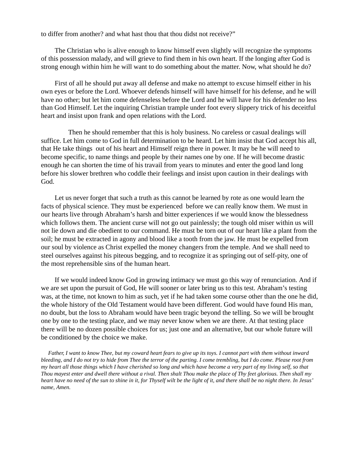to differ from another? and what hast thou that thou didst not receive?"

The Christian who is alive enough to know himself even slightly will recognize the symptoms of this possession malady, and will grieve to find them in his own heart. If the longing after God is strong enough within him he will want to do something about the matter. Now, what should he do?

First of all he should put away all defense and make no attempt to excuse himself either in his own eyes or before the Lord. Whoever defends himself will have himself for his defense, and he will have no other; but let him come defenseless before the Lord and he will have for his defender no less than God Himself. Let the inquiring Christian trample under foot every slippery trick of his deceitful heart and insist upon frank and open relations with the Lord.

 Then he should remember that this is holy business. No careless or casual dealings will suffice. Let him come to God in full determination to be heard. Let him insist that God accept his all, that He take things out of his heart and Himself reign there in power. It may be he will need to become specific, to name things and people by their names one by one. If he will become drastic enough he can shorten the time of his travail from years to minutes and enter the good land long before his slower brethren who coddle their feelings and insist upon caution in their dealings with God.

Let us never forget that such a truth as this cannot be learned by rote as one would learn the facts of physical science. They must be experienced before we can really know them. We must in our hearts live through Abraham's harsh and bitter experiences if we would know the blessedness which follows them. The ancient curse will not go out painlessly; the tough old miser within us will not lie down and die obedient to our command. He must be torn out of our heart like a plant from the soil; he must be extracted in agony and blood like a tooth from the jaw. He must be expelled from our soul by violence as Christ expelled the money changers from the temple. And we shall need to steel ourselves against his piteous begging, and to recognize it as springing out of self-pity, one of the most reprehensible sins of the human heart.

If we would indeed know God in growing intimacy we must go this way of renunciation. And if we are set upon the pursuit of God, He will sooner or later bring us to this test. Abraham's testing was, at the time, not known to him as such, yet if he had taken some course other than the one he did, the whole history of the Old Testament would have been different. God would have found His man, no doubt, but the loss to Abraham would have been tragic beyond the telling. So we will be brought one by one to the testing place, and we may never know when we are there. At that testing place there will be no dozen possible choices for us; just one and an alternative, but our whole future will be conditioned by the choice we make.

 *Father, I want to know Thee, but my coward heart fears to give up its toys. I cannot part with them without inward bleeding, and I do not try to hide from Thee the terror of the parting. I come trembling, but I do come. Please root from my heart all those things which I have cherished so long and which have become a very part of my living self, so that Thou mayest enter and dwell there without a rival. Then shalt Thou make the place of Thy feet glorious. Then shall my heart have no need of the sun to shine in it, for Thyself wilt be the light of it, and there shall be no night there. In Jesus' name, Amen.*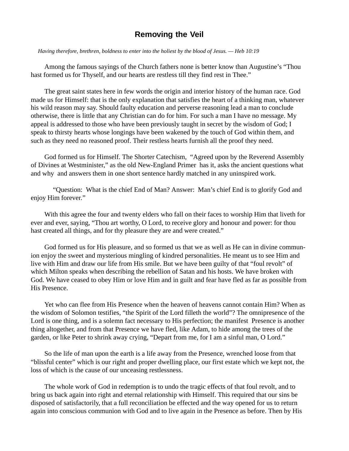#### **Removing the Veil**

 *Having therefore, brethren, boldness to enter into the holiest by the blood of Jesus. — Heb 10:19*

Among the famous sayings of the Church fathers none is better know than Augustine's "Thou hast formed us for Thyself, and our hearts are restless till they find rest in Thee."

The great saint states here in few words the origin and interior history of the human race. God made us for Himself: that is the only explanation that satisfies the heart of a thinking man, whatever his wild reason may say. Should faulty education and perverse reasoning lead a man to conclude otherwise, there is little that any Christian can do for him. For such a man I have no message. My appeal is addressed to those who have been previously taught in secret by the wisdom of God; I speak to thirsty hearts whose longings have been wakened by the touch of God within them, and such as they need no reasoned proof. Their restless hearts furnish all the proof they need.

God formed us for Himself. The Shorter Catechism, "Agreed upon by the Reverend Assembly of Divines at Westminister," as the old New-England Primer has it, asks the ancient questions what and why and answers them in one short sentence hardly matched in any uninspired work.

 "Question: What is the chief End of Man? Answer: Man's chief End is to glorify God and enjoy Him forever."

With this agree the four and twenty elders who fall on their faces to worship Him that liveth for ever and ever, saying, "Thou art worthy, O Lord, to receive glory and honour and power: for thou hast created all things, and for thy pleasure they are and were created."

God formed us for His pleasure, and so formed us that we as well as He can in divine communion enjoy the sweet and mysterious mingling of kindred personalities. He meant us to see Him and live with Him and draw our life from His smile. But we have been guilty of that "foul revolt" of which Milton speaks when describing the rebellion of Satan and his hosts. We have broken with God. We have ceased to obey Him or love Him and in guilt and fear have fled as far as possible from His Presence.

Yet who can flee from His Presence when the heaven of heavens cannot contain Him? When as the wisdom of Solomon testifies, "the Spirit of the Lord filleth the world"? The omnipresence of the Lord is one thing, and is a solemn fact necessary to His perfection; the manifest Presence is another thing altogether, and from that Presence we have fled, like Adam, to hide among the trees of the garden, or like Peter to shrink away crying, "Depart from me, for I am a sinful man, O Lord."

So the life of man upon the earth is a life away from the Presence, wrenched loose from that "blissful center" which is our right and proper dwelling place, our first estate which we kept not, the loss of which is the cause of our unceasing restlessness.

The whole work of God in redemption is to undo the tragic effects of that foul revolt, and to bring us back again into right and eternal relationship with Himself. This required that our sins be disposed of satisfactorily, that a full reconciliation be effected and the way opened for us to return again into conscious communion with God and to live again in the Presence as before. Then by His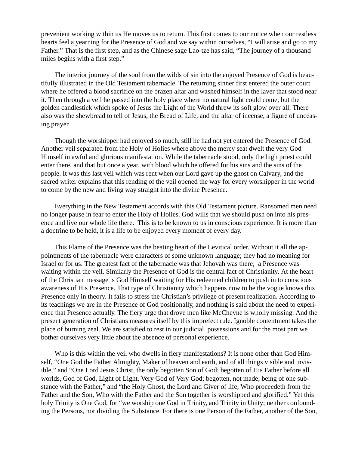prevenient working within us He moves us to return. This first comes to our notice when our restless hearts feel a yearning for the Presence of God and we say within ourselves, "I will arise and go to my Father." That is the first step, and as the Chinese sage Lao-tze has said, "The journey of a thousand miles begins with a first step."

The interior journey of the soul from the wilds of sin into the enjoyed Presence of God is beautifully illustrated in the Old Testament tabernacle. The returning sinner first entered the outer court where he offered a blood sacrifice on the brazen altar and washed himself in the laver that stood near it. Then through a veil he passed into the holy place where no natural light could come, but the golden candlestick which spoke of Jesus the Light of the World threw its soft glow over all. There also was the shewbread to tell of Jesus, the Bread of Life, and the altar of incense, a figure of unceasing prayer.

Though the worshipper had enjoyed so much, still he had not yet entered the Presence of God. Another veil separated from the Holy of Holies where above the mercy seat dwelt the very God Himself in awful and glorious manifestation. While the tabernacle stood, only the high priest could enter there, and that but once a year, with blood which he offered for his sins and the sins of the people. It was this last veil which was rent when our Lord gave up the ghost on Calvary, and the sacred writer explains that this rending of the veil opened the way for every worshipper in the world to come by the new and living way straight into the divine Presence.

Everything in the New Testament accords with this Old Testament picture. Ransomed men need no longer pause in fear to enter the Holy of Holies. God wills that we should push on into his presence and live our whole life there. This is to be known to us in conscious experience. It is more than a doctrine to be held, it is a life to be enjoyed every moment of every day.

This Flame of the Presence was the beating heart of the Levitical order. Without it all the appointments of the tabernacle were characters of some unknown language; they had no meaning for Israel or for us. The greatest fact of the tabernacle was that Jehovah was there; a Presence was waiting within the veil. Similarly the Presence of God is the central fact of Christianity. At the heart of the Christian message is God Himself waiting for His redeemed children to push in to conscious awareness of His Presence. That type of Christianity which happens now to be the vogue knows this Presence only in theory. It fails to stress the Christian's privilege of present realization. According to its teachings we are in the Presence of God positionally, and nothing is said about the need to experience that Presence actually. The fiery urge that drove men like McCheyne is wholly missing. And the present generation of Christians measures itself by this imprefect rule. Ignoble contentment takes the place of burning zeal. We are satisfied to rest in our judicial possessions and for the most part we bother ourselves very little about the absence of personal experience.

Who is this within the veil who dwells in fiery manifestations? It is none other than God Himself, "One God the Father Almighty, Maker of heaven and earth, and of all things visible and invisible," and "One Lord Jesus Christ, the only begotten Son of God; begotten of His Father before all worlds, God of God, Light of Light, Very God of Very God; begotten, not made; being of one substance with the Father," and "the Holy Ghost, the Lord and Giver of life, Who proceedeth from the Father and the Son, Who with the Father and the Son together is worshipped and glorified." Yet this holy Trinity is One God, for "we worship one God in Trinity, and Trinity in Unity; neither confounding the Persons, nor dividing the Substance. For there is one Person of the Father, another of the Son,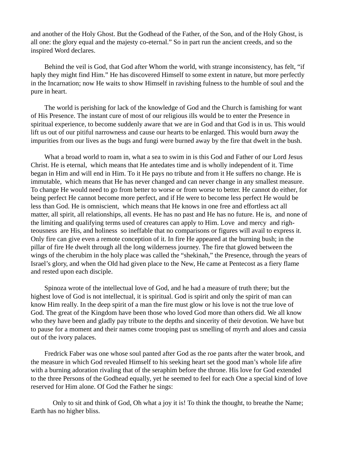and another of the Holy Ghost. But the Godhead of the Father, of the Son, and of the Holy Ghost, is all one: the glory equal and the majesty co-eternal." So in part run the ancient creeds, and so the inspired Word declares.

Behind the veil is God, that God after Whom the world, with strange inconsistency, has felt, "if haply they might find Him." He has discovered Himself to some extent in nature, but more perfectly in the Incarnation; now He waits to show Himself in ravishing fulness to the humble of soul and the pure in heart.

The world is perishing for lack of the knowledge of God and the Church is famishing for want of His Presence. The instant cure of most of our religious ills would be to enter the Presence in spiritual experience, to become suddenly aware that we are in God and that God is in us. This would lift us out of our pitiful narrowness and cause our hearts to be enlarged. This would burn away the impurities from our lives as the bugs and fungi were burned away by the fire that dwelt in the bush.

What a broad world to roam in, what a sea to swim in is this God and Father of our Lord Jesus Christ. He is eternal, which means that He antedates time and is wholly independent of it. Time began in Him and will end in Him. To it He pays no tribute and from it He suffers no change. He is immutable, which means that He has never changed and can never change in any smallest measure. To change He would need to go from better to worse or from worse to better. He cannot do either, for being perfect He cannot become more perfect, and if He were to become less perfect He would be less than God. He is omniscient, which means that He knows in one free and effortless act all matter, all spirit, all relationships, all events. He has no past and He has no future. He is, and none of the limiting and qualifying terms used of creatures can apply to Him. Love and mercy and righteousness are His, and holiness so ineffable that no comparisons or figures will avail to express it. Only fire can give even a remote conception of it. In fire He appeared at the burning bush; in the pillar of fire He dwelt through all the long wilderness journey. The fire that glowed between the wings of the cherubim in the holy place was called the "shekinah," the Presence, through the years of Israel's glory, and when the Old had given place to the New, He came at Pentecost as a fiery flame and rested upon each disciple.

Spinoza wrote of the intellectual love of God, and he had a measure of truth there; but the highest love of God is not intellectual, it is spiritual. God is spirit and only the spirit of man can know Him really. In the deep spirit of a man the fire must glow or his love is not the true love of God. The great of the Kingdom have been those who loved God more than others did. We all know who they have been and gladly pay tribute to the depths and sincerity of their devotion. We have but to pause for a moment and their names come trooping past us smelling of myrrh and aloes and cassia out of the ivory palaces.

Fredrick Faber was one whose soul panted after God as the roe pants after the water brook, and the measure in which God revealed Himself to his seeking heart set the good man's whole life afire with a burning adoration rivaling that of the seraphim before the throne. His love for God extended to the three Persons of the Godhead equally, yet he seemed to feel for each One a special kind of love reserved for Him alone. Of God the Father he sings:

 Only to sit and think of God, Oh what a joy it is! To think the thought, to breathe the Name; Earth has no higher bliss.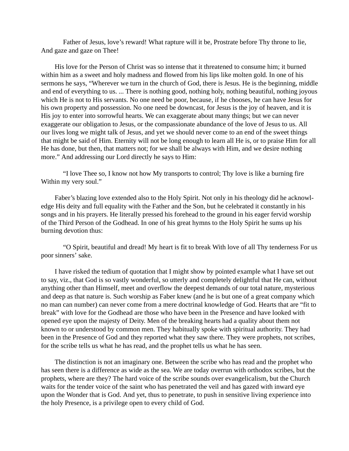Father of Jesus, love's reward! What rapture will it be, Prostrate before Thy throne to lie, And gaze and gaze on Thee!

His love for the Person of Christ was so intense that it threatened to consume him; it burned within him as a sweet and holy madness and flowed from his lips like molten gold. In one of his sermons he says, "Wherever we turn in the church of God, there is Jesus. He is the beginning, middle and end of everything to us. ... There is nothing good, nothing holy, nothing beautiful, nothing joyous which He is not to His servants. No one need be poor, because, if he chooses, he can have Jesus for his own property and possession. No one need be downcast, for Jesus is the joy of heaven, and it is His joy to enter into sorrowful hearts. We can exaggerate about many things; but we can never exaggerate our obligation to Jesus, or the compassionate abundance of the love of Jesus to us. All our lives long we might talk of Jesus, and yet we should never come to an end of the sweet things that might be said of Him. Eternity will not be long enough to learn all He is, or to praise Him for all He has done, but then, that matters not; for we shall be always with Him, and we desire nothing more." And addressing our Lord directly he says to Him:

 "I love Thee so, I know not how My transports to control; Thy love is like a burning fire Within my very soul."

Faber's blazing love extended also to the Holy Spirit. Not only in his theology did he acknowledge His deity and full equality with the Father and the Son, but he celebrated it constantly in his songs and in his prayers. He literally pressed his forehead to the ground in his eager fervid worship of the Third Person of the Godhead. In one of his great hymns to the Holy Spirit he sums up his burning devotion thus:

 "O Spirit, beautiful and dread! My heart is fit to break With love of all Thy tenderness For us poor sinners' sake.

I have risked the tedium of quotation that I might show by pointed example what I have set out to say, viz., that God is so vastly wonderful, so utterly and completely delightful that He can, without anything other than Himself, meet and overflow the deepest demands of our total nature, mysterious and deep as that nature is. Such worship as Faber knew (and he is but one of a great company which no man can number) can never come from a mere doctrinal knowledge of God. Hearts that are "fit to break" with love for the Godhead are those who have been in the Presence and have looked with opened eye upon the majesty of Deity. Men of the breaking hearts had a quality about them not known to or understood by common men. They habitually spoke with spiritual authority. They had been in the Presence of God and they reported what they saw there. They were prophets, not scribes, for the scribe tells us what he has read, and the prophet tells us what he has seen.

The distinction is not an imaginary one. Between the scribe who has read and the prophet who has seen there is a difference as wide as the sea. We are today overrun with orthodox scribes, but the prophets, where are they? The hard voice of the scribe sounds over evangelicalism, but the Church waits for the tender voice of the saint who has penetrated the veil and has gazed with inward eye upon the Wonder that is God. And yet, thus to penetrate, to push in sensitive living experience into the holy Presence, is a privilege open to every child of God.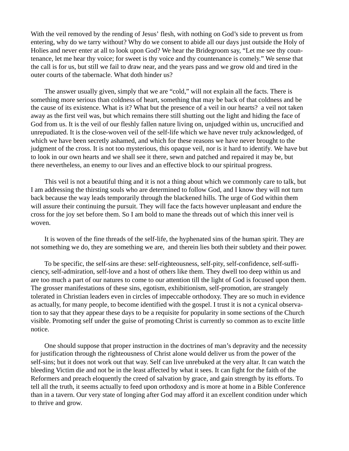With the veil removed by the rending of Jesus' flesh, with nothing on God's side to prevent us from entering, why do we tarry without? Why do we consent to abide all our days just outside the Holy of Holies and never enter at all to look upon God? We hear the Bridegroom say, "Let me see thy countenance, let me hear thy voice; for sweet is thy voice and thy countenance is comely." We sense that the call is for us, but still we fail to draw near, and the years pass and we grow old and tired in the outer courts of the tabernacle. What doth hinder us?

The answer usually given, simply that we are "cold," will not explain all the facts. There is something more serious than coldness of heart, something that may be back of that coldness and be the cause of its existence. What is it? What but the presence of a veil in our hearts? a veil not taken away as the first veil was, but which remains there still shutting out the light and hiding the face of God from us. It is the veil of our fleshly fallen nature living on, unjudged within us, uncrucified and unrepudiated. It is the close-woven veil of the self-life which we have never truly acknowledged, of which we have been secretly ashamed, and which for these reasons we have never brought to the judgment of the cross. It is not too mysterious, this opaque veil, nor is it hard to identify. We have but to look in our own hearts and we shall see it there, sewn and patched and repaired it may be, but there nevertheless, an enemy to our lives and an effective block to our spiritual progress.

This veil is not a beautiful thing and it is not a thing about which we commonly care to talk, but I am addressing the thirsting souls who are determined to follow God, and I know they will not turn back because the way leads temporarily through the blackened hills. The urge of God within them will assure their continuing the pursuit. They will face the facts however unpleasant and endure the cross for the joy set before them. So I am bold to mane the threads out of which this inner veil is woven.

It is woven of the fine threads of the self-life, the hyphenated sins of the human spirit. They are not something we do, they are something we are, and therein lies both their subtlety and their power.

To be specific, the self-sins are these: self-righteousness, self-pity, self-confidence, self-sufficiency, self-admiration, self-love and a host of others like them. They dwell too deep within us and are too much a part of our natures to come to our attention till the light of God is focused upon them. The grosser manifestations of these sins, egotism, exhibitionism, self-promotion, are strangely tolerated in Christian leaders even in circles of impeccable orthodoxy. They are so much in evidence as actually, for many people, to become identified with the gospel. I trust it is not a cynical observation to say that they appear these days to be a requisite for popularity in some sections of the Church visible. Promoting self under the guise of promoting Christ is currently so common as to excite little notice.

One should suppose that proper instruction in the doctrines of man's depravity and the necessity for justification through the righteousness of Christ alone would deliver us from the power of the self-sins; but it does not work out that way. Self can live unrebuked at the very altar. It can watch the bleeding Victim die and not be in the least affected by what it sees. It can fight for the faith of the Reformers and preach eloquently the creed of salvation by grace, and gain strength by its efforts. To tell all the truth, it seems actually to feed upon orthodoxy and is more at home in a Bible Conference than in a tavern. Our very state of longing after God may afford it an excellent condition under which to thrive and grow.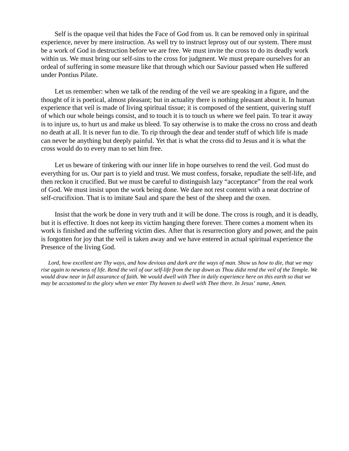Self is the opaque veil that hides the Face of God from us. It can be removed only in spiritual experience, never by mere instruction. As well try to instruct leprosy out of our system. There must be a work of God in destruction before we are free. We must invite the cross to do its deadly work within us. We must bring our self-sins to the cross for judgment. We must prepare ourselves for an ordeal of suffering in some measure like that through which our Saviour passed when He suffered under Pontius Pilate.

Let us remember: when we talk of the rending of the veil we are speaking in a figure, and the thought of it is poetical, almost pleasant; but in actuality there is nothing pleasant about it. In human experience that veil is made of living spiritual tissue; it is composed of the sentient, quivering stuff of which our whole beings consist, and to touch it is to touch us where we feel pain. To tear it away is to injure us, to hurt us and make us bleed. To say otherwise is to make the cross no cross and death no death at all. It is never fun to die. To rip through the dear and tender stuff of which life is made can never be anything but deeply painful. Yet that is what the cross did to Jesus and it is what the cross would do to every man to set him free.

Let us beware of tinkering with our inner life in hope ourselves to rend the veil. God must do everything for us. Our part is to yield and trust. We must confess, forsake, repudiate the self-life, and then reckon it crucified. But we must be careful to distinguish lazy "acceptance" from the real work of God. We must insist upon the work being done. We dare not rest content with a neat doctrine of self-crucifixion. That is to imitate Saul and spare the best of the sheep and the oxen.

Insist that the work be done in very truth and it will be done. The cross is rough, and it is deadly, but it is effective. It does not keep its victim hanging there forever. There comes a moment when its work is finished and the suffering victim dies. After that is resurrection glory and power, and the pain is forgotten for joy that the veil is taken away and we have entered in actual spiritual experience the Presence of the living God.

 *Lord, how excellent are Thy ways, and how devious and dark are the ways of man. Show us how to die, that we may rise again to newness of life. Rend the veil of our self-life from the top down as Thou didst rend the veil of the Temple. We would draw near in full assurance of faith. We would dwell with Thee in daily experience here on this earth so that we may be accustomed to the glory when we enter Thy heaven to dwell with Thee there. In Jesus' name, Amen.*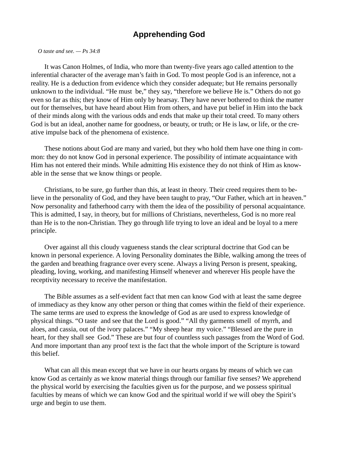### **Apprehending God**

 *O taste and see. — Ps 34:8*

It was Canon Holmes, of India, who more than twenty-five years ago called attention to the inferential character of the average man's faith in God. To most people God is an inference, not a reality. He is a deduction from evidence which they consider adequate; but He remains personally unknown to the individual. "He must be," they say, "therefore we believe He is." Others do not go even so far as this; they know of Him only by hearsay. They have never bothered to think the matter out for themselves, but have heard about Him from others, and have put belief in Him into the back of their minds along with the various odds and ends that make up their total creed. To many others God is but an ideal, another name for goodness, or beauty, or truth; or He is law, or life, or the creative impulse back of the phenomena of existence.

These notions about God are many and varied, but they who hold them have one thing in common: they do not know God in personal experience. The possibility of intimate acquaintance with Him has not entered their minds. While admitting His existence they do not think of Him as knowable in the sense that we know things or people.

Christians, to be sure, go further than this, at least in theory. Their creed requires them to believe in the personality of God, and they have been taught to pray, "Our Father, which art in heaven." Now personality and fatherhood carry with them the idea of the possibility of personal acquaintance. This is admitted, I say, in theory, but for millions of Christians, nevertheless, God is no more real than He is to the non-Christian. They go through life trying to love an ideal and be loyal to a mere principle.

Over against all this cloudy vagueness stands the clear scriptural doctrine that God can be known in personal experience. A loving Personality dominates the Bible, walking among the trees of the garden and breathing fragrance over every scene. Always a living Person is present, speaking, pleading, loving, working, and manifesting Himself whenever and wherever His people have the receptivity necessary to receive the manifestation.

The Bible assumes as a self-evident fact that men can know God with at least the same degree of immediacy as they know any other person or thing that comes within the field of their experience. The same terms are used to express the knowledge of God as are used to express knowledge of physical things. "O taste and see that the Lord is good." "All thy garments smell of myrrh, and aloes, and cassia, out of the ivory palaces." "My sheep hear my voice." "Blessed are the pure in heart, for they shall see God." These are but four of countless such passages from the Word of God. And more important than any proof text is the fact that the whole import of the Scripture is toward this belief.

What can all this mean except that we have in our hearts organs by means of which we can know God as certainly as we know material things through our familiar five senses? We apprehend the physical world by exercising the faculties given us for the purpose, and we possess spiritual faculties by means of which we can know God and the spiritual world if we will obey the Spirit's urge and begin to use them.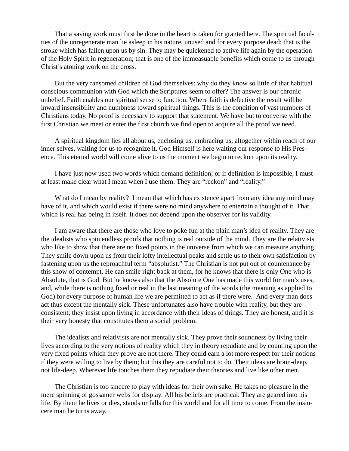That a saving work must first be done in the heart is taken for granted here. The spiritual faculties of the unregenerate man lie asleep in his nature, unused and for every purpose dead; that is the stroke which has fallen upon us by sin. They may be quickened to active life again by the operation of the Holy Spirit in regeneration; that is one of the immeasuable benefits which come to us through Christ's atoning work on the cross.

But the very ransomed children of God themselves: why do they know so little of that habitual conscious communion with God which the Scriptures seem to offer? The answer is our chronic unbelief. Faith enables our spiritual sense to function. Where faith is defective the result will be inward insensibility and numbness toward spiritual things. This is the condition of vast numbers of Christians today. No proof is necessary to support that statement. We have but to converse with the first Christian we meet or enter the first church we find open to acquire all the proof we need.

A spiritual kingdom lies all about us, enclosing us, embracing us, altogether within reach of our inner selves, waiting for us to recognize it. God Himself is here waiting our response to His Presence. This eternal world will come alive to us the moment we begin to reckon upon its reality.

I have just now used two words which demand definition; or if definition is impossible, I must at least make clear what I mean when I use them. They are "reckon" and "reality."

What do I mean by reality? I mean that which has existence apart from any idea any mind may have of it, and which would exist if there were no mind anywhere to entertain a thought of it. That which is real has being in itself. It does not depend upon the observer for its validity.

I am aware that there are those who love to poke fun at the plain man's idea of reality. They are the idealists who spin endless proofs that nothing is real outside of the mind. They are the relativists who like to show that there are no fixed points in the universe from which we can measure anything. They smile down upon us from their lofty intellectual peaks and settle us to their own satisfaction by fastening upon us the reproachful term "absolutist." The Christian is not put out of countenance by this show of contempt. He can smile right back at them, for he knows that there is only One who is Absolute, that is God. But he knows also that the Absolute One has made this world for man's uses, and, while there is nothing fixed or real in the last meaning of the words (the meaning as applied to God) for every purpose of human life we are permitted to act as if there were. And every man does act thus except the mentally sick. These unfortunates also have trouble with reality, but they are consistent; they insist upon living in accordance with their ideas of things. They are honest, and it is their very honesty that constitutes them a social problem.

The idealists and relativists are not mentally sick. They prove their soundness by living their lives according to the very notions of reality which they in theory repudiate and by counting upon the very fixed points which they prove are not there. They could earn a lot more respect for their notions if they were willing to live by them; but this they are careful not to do. Their ideas are brain-deep, not life-deep. Wherever life touches them they repudiate their theories and live like other men.

The Christian is too sincere to play with ideas for their own sake. He takes no pleasure in the mere spinning of gossamer webs for display. All his beliefs are practical. They are geared into his life. By them he lives or dies, stands or falls for this world and for all time to come. From the insincere man he turns away.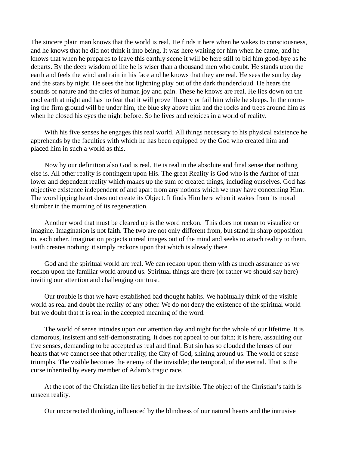The sincere plain man knows that the world is real. He finds it here when he wakes to consciousness, and he knows that he did not think it into being. It was here waiting for him when he came, and he knows that when he prepares to leave this earthly scene it will be here still to bid him good-bye as he departs. By the deep wisdom of life he is wiser than a thousand men who doubt. He stands upon the earth and feels the wind and rain in his face and he knows that they are real. He sees the sun by day and the stars by night. He sees the hot lightning play out of the dark thundercloud. He hears the sounds of nature and the cries of human joy and pain. These he knows are real. He lies down on the cool earth at night and has no fear that it will prove illusory or fail him while he sleeps. In the morning the firm ground will be under him, the blue sky above him and the rocks and trees around him as when he closed his eyes the night before. So he lives and rejoices in a world of reality.

With his five senses he engages this real world. All things necessary to his physical existence he apprehends by the faculties with which he has been equipped by the God who created him and placed him in such a world as this.

Now by our definition also God is real. He is real in the absolute and final sense that nothing else is. All other reality is contingent upon His. The great Reality is God who is the Author of that lower and dependent reality which makes up the sum of created things, including ourselves. God has objective existence independent of and apart from any notions which we may have concerning Him. The worshipping heart does not create its Object. It finds Him here when it wakes from its moral slumber in the morning of its regeneration.

Another word that must be cleared up is the word reckon. This does not mean to visualize or imagine. Imagination is not faith. The two are not only different from, but stand in sharp opposition to, each other. Imagination projects unreal images out of the mind and seeks to attach reality to them. Faith creates nothing; it simply reckons upon that which is already there.

God and the spiritual world are real. We can reckon upon them with as much assurance as we reckon upon the familiar world around us. Spiritual things are there (or rather we should say here) inviting our attention and challenging our trust.

Our trouble is that we have established bad thought habits. We habitually think of the visible world as real and doubt the reality of any other. We do not deny the existence of the spiritual world but we doubt that it is real in the accepted meaning of the word.

The world of sense intrudes upon our attention day and night for the whole of our lifetime. It is clamorous, insistent and self-demonstrating. It does not appeal to our faith; it is here, assaulting our five senses, demanding to be accepted as real and final. But sin has so clouded the lenses of our hearts that we cannot see that other reality, the City of God, shining around us. The world of sense triumphs. The visible becomes the enemy of the invisible; the temporal, of the eternal. That is the curse inherited by every member of Adam's tragic race.

At the root of the Christian life lies belief in the invisible. The object of the Christian's faith is unseen reality.

Our uncorrected thinking, influenced by the blindness of our natural hearts and the intrusive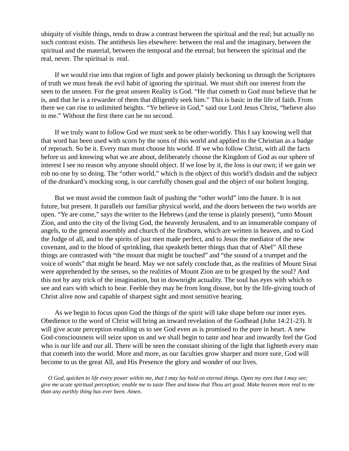ubiquity of visible things, tends to draw a contrast between the spiritual and the real; but actually no such contrast exists. The antithesis lies elsewhere: between the real and the imaginary, between the spiritual and the material, between the temporal and the eternal; but between the spiritual and the real, never. The spiritual is real.

If we would rise into that region of light and power plainly beckoning us through the Scriptures of truth we must break the evil habit of ignoring the spiritual. We must shift our interest from the seen to the unseen. For the great unseen Reality is God. "He that cometh to God must believe that he is, and that he is a rewarder of them that diligently seek him." This is basic in the life of faith. From there we can rise to unlimited heights. "Ye believe in God," said our Lord Jesus Christ, "believe also in me." Without the first there can be no second.

If we truly want to follow God we must seek to be other-worldly. This I say knowing well that that word has been used with scorn by the sons of this world and applied to the Christian as a badge of reproach. So be it. Every man must choose his world. If we who follow Christ, with all the facts before us and knowing what we are about, deliberately choose the Kingdom of God as our sphere of interest I see no reason why anyone should object. If we lose by it, the loss is our own; if we gain we rob no one by so doing. The "other world," which is the object of this world's disdain and the subject of the drunkard's mocking song, is our carefully chosen goal and the object of our holiest longing.

But we must avoid the common fault of pushing the "other world" into the future. It is not future, but present. It parallels our familiar physical world, and the doors between the two worlds are open. "Ye are come," says the writer to the Hebrews (and the tense is plainly present), "unto Mount Zion, and unto the city of the living God, the heavenly Jerusalem, and to an innumerable company of angels, to the general assembly and church of the firstborn, which are written in heaven, and to God the Judge of all, and to the spirits of just men made perfect, and to Jesus the mediator of the new covenant, and to the blood of sprinkling, that speaketh better things than that of Abel" All these things are contrasted with "the mount that might be touched" and "the sound of a trumpet and the voice of words" that might be heard. May we not safely conclude that, as the realities of Mount Sinai were apprehended by the senses, so the realities of Mount Zion are to be grasped by the soul? And this not by any trick of the imagination, but in downright actuality. The soul has eyes with which to see and ears with which to hear. Feeble they may be from long disuse, but by the life-giving touch of Christ alive now and capable of sharpest sight and most sensitive hearing.

As we begin to focus upon God the things of the spirit will take shape before our inner eyes. Obedience to the word of Christ will bring an inward revelation of the Godhead (John 14:21-23). It will give acute perception enabling us to see God even as is promised to the pure in heart. A new God-consciousness will seize upon us and we shall begin to taste and hear and inwardly feel the God who is our life and our all. There will be seen the constant shining of the light that lighteth every man that cometh into the world. More and more, as our faculties grow sharper and more sure, God will become to us the great All, and His Presence the glory and wonder of our lives.

 *O God, quicken to life every power within me, that I may lay hold on eternal things. Open my eyes that I may see; give me acute spiritual perception; enable me to taste Thee and know that Thou art good. Make heaven more real to me than any earthly thing has ever been. Amen.*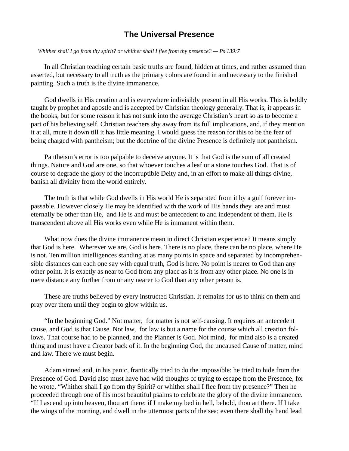#### **The Universal Presence**

 *Whither shall I go from thy spirit? or whither shall I flee from thy presence? — Ps 139:7*

In all Christian teaching certain basic truths are found, hidden at times, and rather assumed than asserted, but necessary to all truth as the primary colors are found in and necessary to the finished painting. Such a truth is the divine immanence.

God dwells in His creation and is everywhere indivisibly present in all His works. This is boldly taught by prophet and apostle and is accepted by Christian theology generally. That is, it appears in the books, but for some reason it has not sunk into the average Christian's heart so as to become a part of his believing self. Christian teachers shy away from its full implications, and, if they mention it at all, mute it down till it has little meaning. I would guess the reason for this to be the fear of being charged with pantheism; but the doctrine of the divine Presence is definitely not pantheism.

Pantheism's error is too palpable to deceive anyone. It is that God is the sum of all created things. Nature and God are one, so that whoever touches a leaf or a stone touches God. That is of course to degrade the glory of the incorruptible Deity and, in an effort to make all things divine, banish all divinity from the world entirely.

The truth is that while God dwells in His world He is separated from it by a gulf forever impassable. However closely He may be identified with the work of His hands they are and must eternally be other than He, and He is and must be antecedent to and independent of them. He is transcendent above all His works even while He is immanent within them.

What now does the divine immanence mean in direct Christian experience? It means simply that God is here. Wherever we are, God is here. There is no place, there can be no place, where He is not. Ten million intelligences standing at as many points in space and separated by incomprehensible distances can each one say with equal truth, God is here. No point is nearer to God than any other point. It is exactly as near to God from any place as it is from any other place. No one is in mere distance any further from or any nearer to God than any other person is.

These are truths believed by every instructed Christian. It remains for us to think on them and pray over them until they begin to glow within us.

"In the beginning God." Not matter, for matter is not self-causing. It requires an antecedent cause, and God is that Cause. Not law, for law is but a name for the course which all creation follows. That course had to be planned, and the Planner is God. Not mind, for mind also is a created thing and must have a Creator back of it. In the beginning God, the uncaused Cause of matter, mind and law. There we must begin.

Adam sinned and, in his panic, frantically tried to do the impossible: he tried to hide from the Presence of God. David also must have had wild thoughts of trying to escape from the Presence, for he wrote, "Whither shall I go from thy Spirit? or whither shall I flee from thy presence?" Then he proceeded through one of his most beautiful psalms to celebrate the glory of the divine immanence. "If I ascend up into heaven, thou art there: if I make my bed in hell, behold, thou art there. If I take the wings of the morning, and dwell in the uttermost parts of the sea; even there shall thy hand lead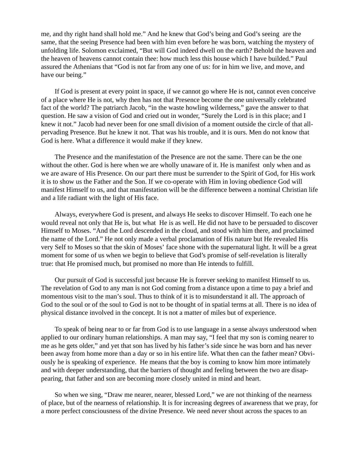me, and thy right hand shall hold me." And he knew that God's being and God's seeing are the same, that the seeing Presence had been with him even before he was born, watching the mystery of unfolding life. Solomon exclaimed, "But will God indeed dwell on the earth? Behold the heaven and the heaven of heavens cannot contain thee: how much less this house which I have builded." Paul assured the Athenians that "God is not far from any one of us: for in him we live, and move, and have our being."

If God is present at every point in space, if we cannot go where He is not, cannot even conceive of a place where He is not, why then has not that Presence become the one universally celebrated fact of the world? The patriarch Jacob, "in the waste howling wilderness," gave the answer to that question. He saw a vision of God and cried out in wonder, "Surely the Lord is in this place; and I knew it not." Jacob had never been for one small division of a moment outside the circle of that allpervading Presence. But he knew it not. That was his trouble, and it is ours. Men do not know that God is here. What a difference it would make if they knew.

The Presence and the manifestation of the Presence are not the same. There can be the one without the other. God is here when we are wholly unaware of it. He is manifest only when and as we are aware of His Presence. On our part there must be surrender to the Spirit of God, for His work it is to show us the Father and the Son. If we co-operate with Him in loving obedience God will manifest Himself to us, and that manifestation will be the difference between a nominal Christian life and a life radiant with the light of His face.

Always, everywhere God is present, and always He seeks to discover Himself. To each one he would reveal not only that He is, but what He is as well. He did not have to be persuaded to discover Himself to Moses. "And the Lord descended in the cloud, and stood with him there, and proclaimed the name of the Lord." He not only made a verbal proclamation of His nature but He revealed His very Self to Moses so that the skin of Moses' face shone with the supernatural light. It will be a great moment for some of us when we begin to believe that God's promise of self-revelation is literally true: that He promised much, but promised no more than He intends to fulfill.

Our pursuit of God is successful just because He is forever seeking to manifest Himself to us. The revelation of God to any man is not God coming from a distance upon a time to pay a brief and momentous visit to the man's soul. Thus to think of it is to misunderstand it all. The approach of God to the soul or of the soul to God is not to be thought of in spatial terms at all. There is no idea of physical distance involved in the concept. It is not a matter of miles but of experience.

To speak of being near to or far from God is to use language in a sense always understood when applied to our ordinary human relationships. A man may say, "I feel that my son is coming nearer to me as he gets older," and yet that son has lived by his father's side since he was born and has never been away from home more than a day or so in his entire life. What then can the father mean? Obviously he is speaking of experience. He means that the boy is coming to know him more intimately and with deeper understanding, that the barriers of thought and feeling between the two are disappearing, that father and son are becoming more closely united in mind and heart.

So when we sing, "Draw me nearer, nearer, blessed Lord," we are not thinking of the nearness of place, but of the nearness of relationship. It is for increasing degrees of awareness that we pray, for a more perfect consciousness of the divine Presence. We need never shout across the spaces to an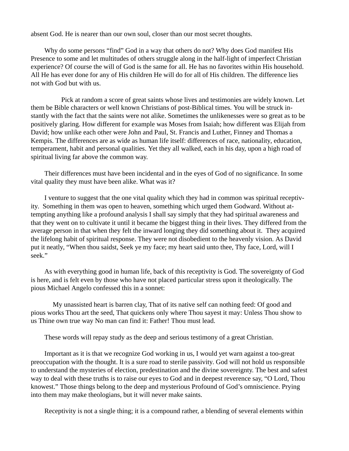absent God. He is nearer than our own soul, closer than our most secret thoughts.

Why do some persons "find" God in a way that others do not? Why does God manifest His Presence to some and let multitudes of others struggle along in the half-light of imperfect Christian experience? Of course the will of God is the same for all. He has no favorites within His household. All He has ever done for any of His children He will do for all of His children. The difference lies not with God but with us.

 Pick at random a score of great saints whose lives and testimonies are widely known. Let them be Bible characters or well known Christians of post-Biblical times. You will be struck instantly with the fact that the saints were not alike. Sometimes the unlikenesses were so great as to be positively glaring. How different for example was Moses from Isaiah; how different was Elijah from David; how unlike each other were John and Paul, St. Francis and Luther, Finney and Thomas a Kempis. The differences are as wide as human life itself: differences of race, nationality, education, temperament, habit and personal qualities. Yet they all walked, each in his day, upon a high road of spiritual living far above the common way.

Their differences must have been incidental and in the eyes of God of no significance. In some vital quality they must have been alike. What was it?

I venture to suggest that the one vital quality which they had in common was spiritual receptivity. Something in them was open to heaven, something which urged them Godward. Without attempting anything like a profound analysis I shall say simply that they had spiritual awareness and that they went on to cultivate it until it became the biggest thing in their lives. They differed from the average person in that when they felt the inward longing they did something about it. They acquired the lifelong habit of spiritual response. They were not disobedient to the heavenly vision. As David put it neatly, "When thou saidst, Seek ye my face; my heart said unto thee, Thy face, Lord, will I seek."

As with everything good in human life, back of this receptivity is God. The sovereignty of God is here, and is felt even by those who have not placed particular stress upon it theologically. The pious Michael Angelo confessed this in a sonnet:

 My unassisted heart is barren clay, That of its native self can nothing feed: Of good and pious works Thou art the seed, That quickens only where Thou sayest it may: Unless Thou show to us Thine own true way No man can find it: Father! Thou must lead.

These words will repay study as the deep and serious testimony of a great Christian.

Important as it is that we recognize God working in us, I would yet warn against a too-great preoccupation with the thought. It is a sure road to sterile passivity. God will not hold us responsible to understand the mysteries of election, predestination and the divine sovereignty. The best and safest way to deal with these truths is to raise our eyes to God and in deepest reverence say, "O Lord, Thou knowest." Those things belong to the deep and mysterious Profound of God's omniscience. Prying into them may make theologians, but it will never make saints.

Receptivity is not a single thing; it is a compound rather, a blending of several elements within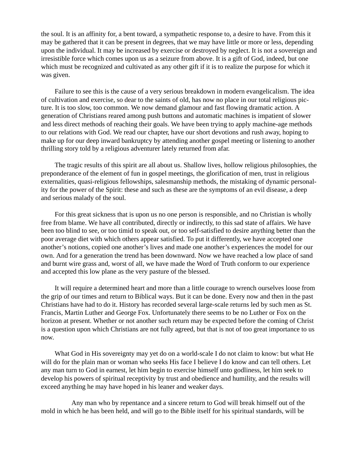the soul. It is an affinity for, a bent toward, a sympathetic response to, a desire to have. From this it may be gathered that it can be present in degrees, that we may have little or more or less, depending upon the individual. It may be increased by exercise or destroyed by neglect. It is not a sovereign and irresistible force which comes upon us as a seizure from above. It is a gift of God, indeed, but one which must be recognized and cultivated as any other gift if it is to realize the purpose for which it was given.

Failure to see this is the cause of a very serious breakdown in modern evangelicalism. The idea of cultivation and exercise, so dear to the saints of old, has now no place in our total religious picture. It is too slow, too common. We now demand glamour and fast flowing dramatic action. A generation of Christians reared among push buttons and automatic machines is impatient of slower and less direct methods of reaching their goals. We have been trying to apply machine-age methods to our relations with God. We read our chapter, have our short devotions and rush away, hoping to make up for our deep inward bankruptcy by attending another gospel meeting or listening to another thrilling story told by a religious adventurer lately returned from afar.

The tragic results of this spirit are all about us. Shallow lives, hollow religious philosophies, the preponderance of the element of fun in gospel meetings, the glorification of men, trust in religious externalities, quasi-religious fellowships, salesmanship methods, the mistaking of dynamic personality for the power of the Spirit: these and such as these are the symptoms of an evil disease, a deep and serious malady of the soul.

For this great sickness that is upon us no one person is responsible, and no Christian is wholly free from blame. We have all contributed, directly or indirectly, to this sad state of affairs. We have been too blind to see, or too timid to speak out, or too self-satisfied to desire anything better than the poor average diet with which others appear satisfied. To put it differently, we have accepted one another's notions, copied one another's lives and made one another's experiences the model for our own. And for a generation the trend has been downward. Now we have reached a low place of sand and burnt wire grass and, worst of all, we have made the Word of Truth conform to our experience and accepted this low plane as the very pasture of the blessed.

It will require a determined heart and more than a little courage to wrench ourselves loose from the grip of our times and return to Biblical ways. But it can be done. Every now and then in the past Christians have had to do it. History has recorded several large-scale returns led by such men as St. Francis, Martin Luther and George Fox. Unfortunately there seems to be no Luther or Fox on the horizon at present. Whether or not another such return may be expected before the coming of Christ is a question upon which Christians are not fully agreed, but that is not of too great importance to us now.

What God in His sovereignty may yet do on a world-scale I do not claim to know: but what He will do for the plain man or woman who seeks His face I believe I do know and can tell others. Let any man turn to God in earnest, let him begin to exercise himself unto godliness, let him seek to develop his powers of spiritual receptivity by trust and obedience and humility, and the results will exceed anything he may have hoped in his leaner and weaker days.

 Any man who by repentance and a sincere return to God will break himself out of the mold in which he has been held, and will go to the Bible itself for his spiritual standards, will be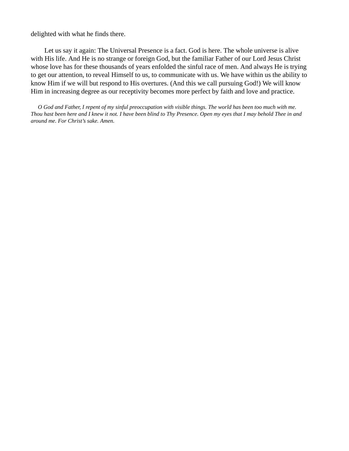delighted with what he finds there.

Let us say it again: The Universal Presence is a fact. God is here. The whole universe is alive with His life. And He is no strange or foreign God, but the familiar Father of our Lord Jesus Christ whose love has for these thousands of years enfolded the sinful race of men. And always He is trying to get our attention, to reveal Himself to us, to communicate with us. We have within us the ability to know Him if we will but respond to His overtures. (And this we call pursuing God!) We will know Him in increasing degree as our receptivity becomes more perfect by faith and love and practice.

 *O God and Father, I repent of my sinful preoccupation with visible things. The world has been too much with me. Thou hast been here and I knew it not. I have been blind to Thy Presence. Open my eyes that I may behold Thee in and around me. For Christ's sake. Amen.*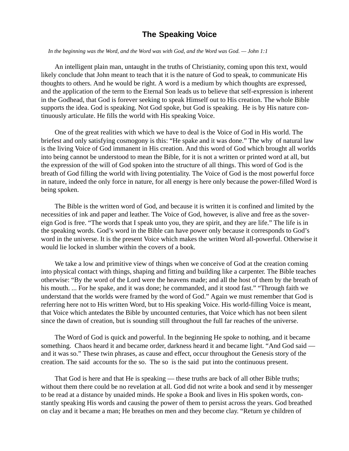#### **The Speaking Voice**

 *In the beginning was the Word, and the Word was with God, and the Word was God. — John 1:1*

An intelligent plain man, untaught in the truths of Christianity, coming upon this text, would likely conclude that John meant to teach that it is the nature of God to speak, to communicate His thoughts to others. And he would be right. A word is a medium by which thoughts are expressed, and the application of the term to the Eternal Son leads us to believe that self-expression is inherent in the Godhead, that God is forever seeking to speak Himself out to His creation. The whole Bible supports the idea. God is speaking. Not God spoke, but God is speaking. He is by His nature continuously articulate. He fills the world with His speaking Voice.

One of the great realities with which we have to deal is the Voice of God in His world. The briefest and only satisfying cosmogony is this: "He spake and it was done." The why of natural law is the living Voice of God immanent in His creation. And this word of God which brought all worlds into being cannot be understood to mean the Bible, for it is not a written or printed word at all, but the expression of the will of God spoken into the structure of all things. This word of God is the breath of God filling the world with living potentiality. The Voice of God is the most powerful force in nature, indeed the only force in nature, for all energy is here only because the power-filled Word is being spoken.

The Bible is the written word of God, and because it is written it is confined and limited by the necessities of ink and paper and leather. The Voice of God, however, is alive and free as the sovereign God is free. "The words that I speak unto you, they are spirit, and they are life." The life is in the speaking words. God's word in the Bible can have power only because it corresponds to God's word in the universe. It is the present Voice which makes the written Word all-powerful. Otherwise it would lie locked in slumber within the covers of a book.

We take a low and primitive view of things when we conceive of God at the creation coming into physical contact with things, shaping and fitting and building like a carpenter. The Bible teaches otherwise: "By the word of the Lord were the heavens made; and all the host of them by the breath of his mouth. ... For he spake, and it was done; he commanded, and it stood fast." "Through faith we understand that the worlds were framed by the word of God." Again we must remember that God is referring here not to His written Word, but to His speaking Voice. His world-filling Voice is meant, that Voice which antedates the Bible by uncounted centuries, that Voice which has not been silent since the dawn of creation, but is sounding still throughout the full far reaches of the universe.

The Word of God is quick and powerful. In the beginning He spoke to nothing, and it became something. Chaos heard it and became order, darkness heard it and became light. "And God said and it was so." These twin phrases, as cause and effect, occur throughout the Genesis story of the creation. The said accounts for the so. The so is the said put into the continuous present.

That God is here and that He is speaking — these truths are back of all other Bible truths; without them there could be no revelation at all. God did not write a book and send it by messenger to be read at a distance by unaided minds. He spoke a Book and lives in His spoken words, constantly speaking His words and causing the power of them to persist across the years. God breathed on clay and it became a man; He breathes on men and they become clay. "Return ye children of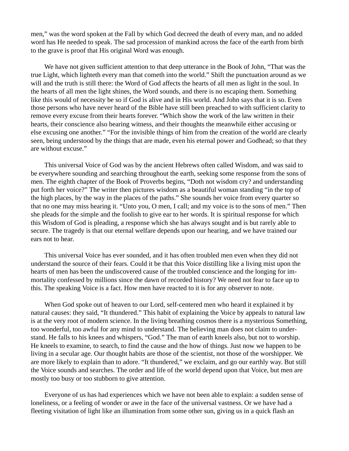men," was the word spoken at the Fall by which God decreed the death of every man, and no added word has He needed to speak. The sad procession of mankind across the face of the earth from birth to the grave is proof that His original Word was enough.

We have not given sufficient attention to that deep utterance in the Book of John, "That was the true Light, which lighteth every man that cometh into the world." Shift the punctuation around as we will and the truth is still there: the Word of God affects the hearts of all men as light in the soul. In the hearts of all men the light shines, the Word sounds, and there is no escaping them. Something like this would of necessity be so if God is alive and in His world. And John says that it is so. Even those persons who have never heard of the Bible have still been preached to with sufficient clarity to remove every excuse from their hearts forever. "Which show the work of the law written in their hearts, their conscience also bearing witness, and their thoughts the meanwhile either accusing or else excusing one another." "For the invisible things of him from the creation of the world are clearly seen, being understood by the things that are made, even his eternal power and Godhead; so that they are without excuse."

This universal Voice of God was by the ancient Hebrews often called Wisdom, and was said to be everywhere sounding and searching throughout the earth, seeking some response from the sons of men. The eighth chapter of the Book of Proverbs begins, "Doth not wisdom cry? and understanding put forth her voice?" The writer then pictures wisdom as a beautiful woman standing "in the top of the high places, by the way in the places of the paths." She sounds her voice from every quarter so that no one may miss hearing it. "Unto you, O men, I call; and my voice is to the sons of men." Then she pleads for the simple and the foolish to give ear to her words. It is spiritual response for which this Wisdom of God is pleading, a response which she has always sought and is but rarely able to secure. The tragedy is that our eternal welfare depends upon our hearing, and we have trained our ears not to hear.

This universal Voice has ever sounded, and it has often troubled men even when they did not understand the source of their fears. Could it be that this Voice distilling like a living mist upon the hearts of men has been the undiscovered cause of the troubled conscience and the longing for immortality confessed by millions since the dawn of recorded history? We need not fear to face up to this. The speaking Voice is a fact. How men have reacted to it is for any observer to note.

When God spoke out of heaven to our Lord, self-centered men who heard it explained it by natural causes: they said, "It thundered." This habit of explaining the Voice by appeals to natural law is at the very root of modern science. In the living breathing cosmos there is a mysterious Something, too wonderful, too awful for any mind to understand. The believing man does not claim to understand. He falls to his knees and whispers, "God." The man of earth kneels also, but not to worship. He kneels to examine, to search, to find the cause and the how of things. Just now we happen to be living in a secular age. Our thought habits are those of the scientist, not those of the worshipper. We are more likely to explain than to adore. "It thundered," we exclaim, and go our earthly way. But still the Voice sounds and searches. The order and life of the world depend upon that Voice, but men are mostly too busy or too stubborn to give attention.

Everyone of us has had experiences which we have not been able to explain: a sudden sense of loneliness, or a feeling of wonder or awe in the face of the universal vastness. Or we have had a fleeting visitation of light like an illumination from some other sun, giving us in a quick flash an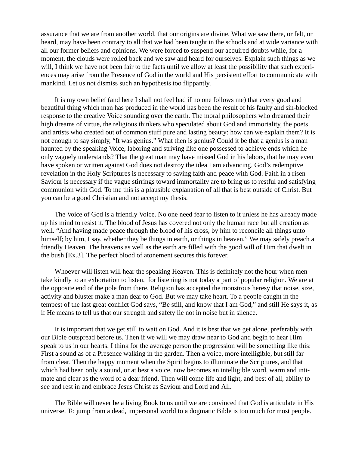assurance that we are from another world, that our origins are divine. What we saw there, or felt, or heard, may have been contrary to all that we had been taught in the schools and at wide variance with all our former beliefs and opinions. We were forced to suspend our acquired doubts while, for a moment, the clouds were rolled back and we saw and heard for ourselves. Explain such things as we will, I think we have not been fair to the facts until we allow at least the possibility that such experiences may arise from the Presence of God in the world and His persistent effort to communicate with mankind. Let us not dismiss such an hypothesis too flippantly.

It is my own belief (and here I shall not feel bad if no one follows me) that every good and beautiful thing which man has produced in the world has been the result of his faulty and sin-blocked response to the creative Voice sounding over the earth. The moral philosophers who dreamed their high dreams of virtue, the religious thinkers who speculated about God and immortality, the poets and artists who created out of common stuff pure and lasting beauty: how can we explain them? It is not enough to say simply, "It was genius." What then is genius? Could it be that a genius is a man haunted by the speaking Voice, laboring and striving like one possessed to achieve ends which he only vaguely understands? That the great man may have missed God in his labors, that he may even have spoken or written against God does not destroy the idea I am advancing. God's redemptive revelation in the Holy Scriptures is necessary to saving faith and peace with God. Faith in a risen Saviour is necessary if the vague stirrings toward immortality are to bring us to restful and satisfying communion with God. To me this is a plausible explanation of all that is best outside of Christ. But you can be a good Christian and not accept my thesis.

The Voice of God is a friendly Voice. No one need fear to listen to it unless he has already made up his mind to resist it. The blood of Jesus has covered not only the human race but all creation as well. "And having made peace through the blood of his cross, by him to reconcile all things unto himself; by him, I say, whether they be things in earth, or things in heaven." We may safely preach a friendly Heaven. The heavens as well as the earth are filled with the good will of Him that dwelt in the bush [Ex.3]. The perfect blood of atonement secures this forever.

Whoever will listen will hear the speaking Heaven. This is definitely not the hour when men take kindly to an exhortation to listen, for listening is not today a part of popular religion. We are at the opposite end of the pole from there. Religion has accepted the monstrous heresy that noise, size, activity and bluster make a man dear to God. But we may take heart. To a people caught in the tempest of the last great conflict God says, "Be still, and know that I am God," and still He says it, as if He means to tell us that our strength and safety lie not in noise but in silence.

It is important that we get still to wait on God. And it is best that we get alone, preferably with our Bible outspread before us. Then if we will we may draw near to God and begin to hear Him speak to us in our hearts. I think for the average person the progression will be something like this: First a sound as of a Presence walking in the garden. Then a voice, more intelligible, but still far from clear. Then the happy moment when the Spirit begins to illuminate the Scriptures, and that which had been only a sound, or at best a voice, now becomes an intelligible word, warm and intimate and clear as the word of a dear friend. Then will come life and light, and best of all, ability to see and rest in and embrace Jesus Christ as Saviour and Lord and All.

The Bible will never be a living Book to us until we are convinced that God is articulate in His universe. To jump from a dead, impersonal world to a dogmatic Bible is too much for most people.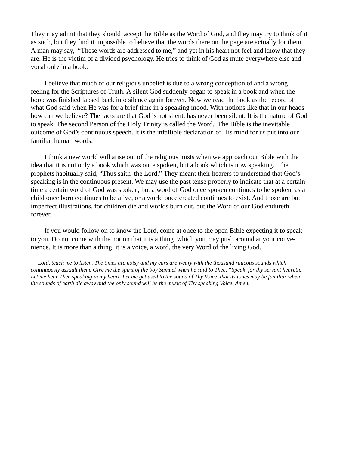They may admit that they should accept the Bible as the Word of God, and they may try to think of it as such, but they find it impossible to believe that the words there on the page are actually for them. A man may say, "These words are addressed to me," and yet in his heart not feel and know that they are. He is the victim of a divided psychology. He tries to think of God as mute everywhere else and vocal only in a book.

I believe that much of our religious unbelief is due to a wrong conception of and a wrong feeling for the Scriptures of Truth. A silent God suddenly began to speak in a book and when the book was finished lapsed back into silence again forever. Now we read the book as the record of what God said when He was for a brief time in a speaking mood. With notions like that in our heads how can we believe? The facts are that God is not silent, has never been silent. It is the nature of God to speak. The second Person of the Holy Trinity is called the Word. The Bible is the inevitable outcome of God's continuous speech. It is the infallible declaration of His mind for us put into our familiar human words.

I think a new world will arise out of the religious mists when we approach our Bible with the idea that it is not only a book which was once spoken, but a book which is now speaking. The prophets habitually said, "Thus saith the Lord." They meant their hearers to understand that God's speaking is in the continuous present. We may use the past tense properly to indicate that at a certain time a certain word of God was spoken, but a word of God once spoken continues to be spoken, as a child once born continues to be alive, or a world once created continues to exist. And those are but imperfect illustrations, for children die and worlds burn out, but the Word of our God endureth forever.

If you would follow on to know the Lord, come at once to the open Bible expecting it to speak to you. Do not come with the notion that it is a thing which you may push around at your convenience. It is more than a thing, it is a voice, a word, the very Word of the living God.

 *Lord, teach me to listen. The times are noisy and my ears are weary with the thousand raucous sounds which continuously assault them. Give me the spirit of the boy Samuel when he said to Thee, "Speak, for thy servant heareth." Let me hear Thee speaking in my heart. Let me get used to the sound of Thy Voice, that its tones may be familiar when the sounds of earth die away and the only sound will be the music of Thy speaking Voice. Amen.*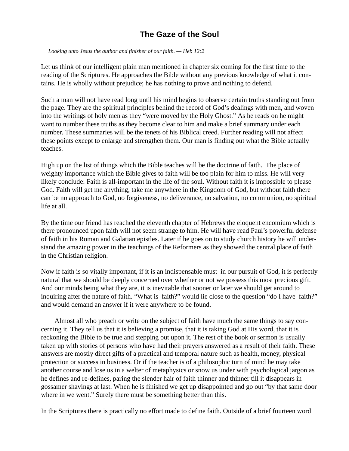## **The Gaze of the Soul**

 *Looking unto Jesus the author and finisher of our faith. — Heb 12:2*

Let us think of our intelligent plain man mentioned in chapter six coming for the first time to the reading of the Scriptures. He approaches the Bible without any previous knowledge of what it contains. He is wholly without prejudice; he has nothing to prove and nothing to defend.

Such a man will not have read long until his mind begins to observe certain truths standing out from the page. They are the spiritual principles behind the record of God's dealings with men, and woven into the writings of holy men as they "were moved by the Holy Ghost." As he reads on he might want to number these truths as they become clear to him and make a brief summary under each number. These summaries will be the tenets of his Biblical creed. Further reading will not affect these points except to enlarge and strengthen them. Our man is finding out what the Bible actually teaches.

High up on the list of things which the Bible teaches will be the doctrine of faith. The place of weighty importance which the Bible gives to faith will be too plain for him to miss. He will very likely conclude: Faith is all-important in the life of the soul. Without faith it is impossible to please God. Faith will get me anything, take me anywhere in the Kingdom of God, but without faith there can be no approach to God, no forgiveness, no deliverance, no salvation, no communion, no spiritual life at all.

By the time our friend has reached the eleventh chapter of Hebrews the eloquent encomium which is there pronounced upon faith will not seem strange to him. He will have read Paul's powerful defense of faith in his Roman and Galatian epistles. Later if he goes on to study church history he will understand the amazing power in the teachings of the Reformers as they showed the central place of faith in the Christian religion.

Now if faith is so vitally important, if it is an indispensable must in our pursuit of God, it is perfectly natural that we should be deeply concerned over whether or not we possess this most precious gift. And our minds being what they are, it is inevitable that sooner or later we should get around to inquiring after the nature of faith. "What is faith?" would lie close to the question "do I have faith?" and would demand an answer if it were anywhere to be found.

 Almost all who preach or write on the subject of faith have much the same things to say concerning it. They tell us that it is believing a promise, that it is taking God at His word, that it is reckoning the Bible to be true and stepping out upon it. The rest of the book or sermon is usually taken up with stories of persons who have had their prayers answered as a result of their faith. These answers are mostly direct gifts of a practical and temporal nature such as health, money, physical protection or success in business. Or if the teacher is of a philosophic turn of mind he may take another course and lose us in a welter of metaphysics or snow us under with psychological jargon as he defines and re-defines, paring the slender hair of faith thinner and thinner till it disappears in gossamer shavings at last. When he is finished we get up disappointed and go out "by that same door where in we went." Surely there must be something better than this.

In the Scriptures there is practically no effort made to define faith. Outside of a brief fourteen word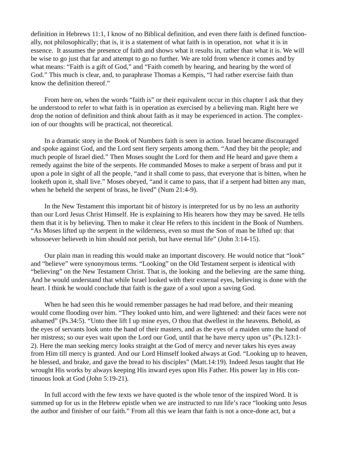definition in Hebrews 11:1, I know of no Biblical definition, and even there faith is defined functionally, not philosophically; that is, it is a statement of what faith is in operation, not what it is in essence. It assumes the presence of faith and shows what it results in, rather than what it is. We will be wise to go just that far and attempt to go no further. We are told from whence it comes and by what means: "Faith is a gift of God," and "Faith cometh by hearing, and hearing by the word of God." This much is clear, and, to paraphrase Thomas a Kempis, "I had rather exercise faith than know the definition thereof."

From here on, when the words "faith is" or their equivalent occur in this chapter I ask that they be understood to refer to what faith is in operation as exercised by a believing man. Right here we drop the notion of definition and think about faith as it may be experienced in action. The complexion of our thoughts will be practical, not theoretical.

In a dramatic story in the Book of Numbers faith is seen in action. Israel became discouraged and spoke against God, and the Lord sent fiery serpents among them. "And they bit the people; and much people of Israel died." Then Moses sought the Lord for them and He heard and gave them a remedy against the bite of the serpents. He commanded Moses to make a serpent of brass and put it upon a pole in sight of all the people, "and it shall come to pass, that everyone that is bitten, when he looketh upon it, shall live." Moses obeyed, "and it came to pass, that if a serpent had bitten any man, when he beheld the serpent of brass, he lived" (Num 21:4-9).

In the New Testament this important bit of history is interpreted for us by no less an authority than our Lord Jesus Christ Himself. He is explaining to His hearers how they may be saved. He tells them that it is by believing. Then to make it clear He refers to this incident in the Book of Numbers. "As Moses lifted up the serpent in the wilderness, even so must the Son of man be lifted up: that whosoever believeth in him should not perish, but have eternal life" (John 3:14-15).

Our plain man in reading this would make an important discovery. He would notice that "look" and "believe" were synonymous terms. "Looking" on the Old Testament serpent is identical with "believing" on the New Testament Christ. That is, the looking and the believing are the same thing. And he would understand that while Israel looked with their external eyes, believing is done with the heart. I think he would conclude that faith is the gaze of a soul upon a saving God.

When he had seen this he would remember passages he had read before, and their meaning would come flooding over him. "They looked unto him, and were lightened: and their faces were not ashamed" (Ps.34:5). "Unto thee lift I up mine eyes, O thou that dwellest in the heavens. Behold, as the eyes of servants look unto the hand of their masters, and as the eyes of a maiden unto the hand of her mistress; so our eyes wait upon the Lord our God, until that he have mercy upon us" (Ps.123:1-2). Here the man seeking mercy looks straight at the God of mercy and never takes his eyes away from Him till mercy is granted. And our Lord Himself looked always at God. "Looking up to heaven, he blessed, and brake, and gave the bread to his disciples" (Matt.14:19). Indeed Jesus taught that He wrought His works by always keeping His inward eyes upon His Father. His power lay in His continuous look at God (John 5:19-21).

In full accord with the few texts we have quoted is the whole tenor of the inspired Word. It is summed up for us in the Hebrew epistle when we are instructed to run life's race "looking unto Jesus the author and finisher of our faith." From all this we learn that faith is not a once-done act, but a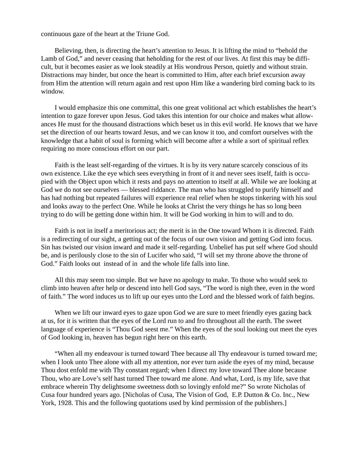continuous gaze of the heart at the Triune God.

Believing, then, is directing the heart's attention to Jesus. It is lifting the mind to "behold the Lamb of God," and never ceasing that heholding for the rest of our lives. At first this may be difficult, but it becomes easier as we look steadily at His wondrous Person, quietly and without strain. Distractions may hinder, but once the heart is committed to Him, after each brief excursion away from Him the attention will return again and rest upon Him like a wandering bird coming back to its window.

I would emphasize this one committal, this one great volitional act which establishes the heart's intention to gaze forever upon Jesus. God takes this intention for our choice and makes what allowances He must for the thousand distractions which beset us in this evil world. He knows that we have set the direction of our hearts toward Jesus, and we can know it too, and comfort ourselves with the knowledge that a habit of soul is forming which will become after a while a sort of spiritual reflex requiring no more conscious effort on our part.

Faith is the least self-regarding of the virtues. It is by its very nature scarcely conscious of its own existence. Like the eye which sees everything in front of it and never sees itself, faith is occupied with the Object upon which it rests and pays no attention to itself at all. While we are looking at God we do not see ourselves — blessed riddance. The man who has struggled to purify himself and has had nothing but repeated failures will experience real relief when he stops tinkering with his soul and looks away to the perfect One. While he looks at Christ the very things he has so long been trying to do will be getting done within him. It will be God working in him to will and to do.

Faith is not in itself a meritorious act; the merit is in the One toward Whom it is directed. Faith is a redirecting of our sight, a getting out of the focus of our own vision and getting God into focus. Sin has twisted our vision inward and made it self-regarding. Unbelief has put self where God should be, and is perilously close to the sin of Lucifer who said, "I will set my throne above the throne of God." Faith looks out instead of in and the whole life falls into line.

All this may seem too simple. But we have no apology to make. To those who would seek to climb into heaven after help or descend into hell God says, "The word is nigh thee, even in the word of faith." The word induces us to lift up our eyes unto the Lord and the blessed work of faith begins.

When we lift our inward eyes to gaze upon God we are sure to meet friendly eyes gazing back at us, for it is written that the eyes of the Lord run to and fro throughout all the earth. The sweet language of experience is "Thou God seest me." When the eyes of the soul looking out meet the eyes of God looking in, heaven has begun right here on this earth.

"When all my endeavour is turned toward Thee because all Thy endeavour is turned toward me; when I look unto Thee alone with all my attention, nor ever turn aside the eyes of my mind, because Thou dost enfold me with Thy constant regard; when I direct my love toward Thee alone because Thou, who are Love's self hast turned Thee toward me alone. And what, Lord, is my life, save that embrace wherein Thy delightsome sweetness doth so lovingly enfold me?" So wrote Nicholas of Cusa four hundred years ago. [Nicholas of Cusa, The Vision of God, E.P. Dutton & Co. Inc., New York, 1928. This and the following quotations used by kind permission of the publishers.]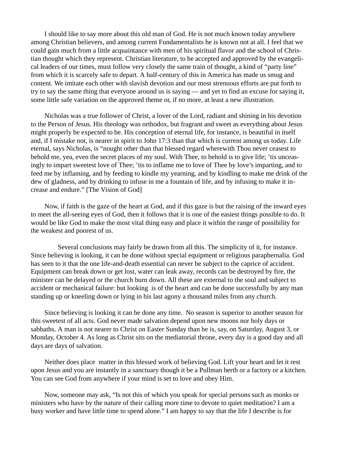I should like to say more about this old man of God. He is not much known today anywhere among Christian believers, and among current Fundamentalists he is known not at all. I feel that we could gain much from a little acquaintance with men of his spiritual flavor and the school of Christian thought which they represent. Christian literature, to be accepted and approved by the evangelical leaders of our times, must follow very closely the same train of thought, a kind of "party line" from which it is scarcely safe to depart. A half-century of this in America has made us smug and content. We imitate each other with slavish devotion and our most strenuous efforts are put forth to try to say the same thing that everyone around us is saying — and yet to find an excuse for saying it, some little safe variation on the approved theme or, if no more, at least a new illustration.

Nicholas was a true follower of Christ, a lover of the Lord, radiant and shining in his devotion to the Person of Jesus. His theology was orthodox, but fragrant and sweet as everything about Jesus might properly be expected to be. His conception of eternal life, for instance, is beautiful in itself and, if I mistake not, is nearer in spirit to John 17:3 than that which is current among us today. Life eternal, says Nicholas, is "nought other than that blessed regard wherewith Thou never ceasest to behold me, yea, even the secret places of my soul. With Thee, to behold is to give life; 'tis unceasingly to impart sweetest love of Thee; 'tis to inflame me to love of Thee by love's imparting, and to feed me by inflaming, and by feeding to kindle my yearning, and by kindling to make me drink of the dew of gladness, and by drinking to infuse in me a fountain of life, and by infusing to make it increase and endure." [The Vision of God]

Now, if faith is the gaze of the heart at God, and if this gaze is but the raising of the inward eyes to meet the all-seeing eyes of God, then it follows that it is one of the easiest things possible to do. It would be like God to make the most vital thing easy and place it within the range of possibility for the weakest and poorest of us.

 Several conclusions may fairly be drawn from all this. The simplicity of it, for instance. Since believing is looking, it can be done without special equipment or religious paraphernalia. God has seen to it that the one life-and-death essential can never be subject to the caprice of accident. Equipment can break down or get lost, water can leak away, records can be destroyed by fire, the minister can be delayed or the church burn down. All these are external to the soul and subject to accident or mechanical failure: but looking is of the heart and can be done successfully by any man standing up or kneeling down or lying in his last agony a thousand miles from any church.

Since believing is looking it can be done any time. No season is superior to another season for this sweetest of all acts. God never made salvation depend upon new moons nor holy days or sabbaths. A man is not nearer to Christ on Easter Sunday than he is, say, on Saturday, August 3, or Monday, October 4. As long as Christ sits on the mediatorial throne, every day is a good day and all days are days of salvation.

Neither does place matter in this blessed work of believing God. Lift your heart and let it rest upon Jesus and you are instantly in a sanctuary though it be a Pullman berth or a factory or a kitchen. You can see God from anywhere if your mind is set to love and obey Him.

Now, someone may ask, "Is not this of which you speak for special persons such as monks or ministers who have by the nature of their calling more time to devote to quiet meditation? I am a busy worker and have little time to spend alone." I am happy to say that the life I describe is for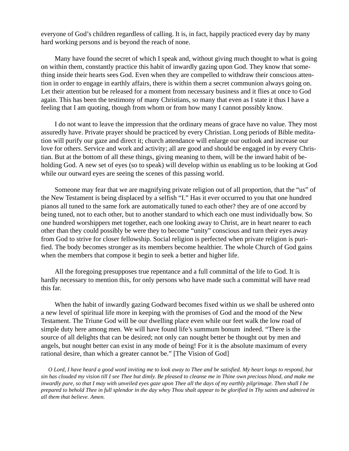everyone of God's children regardless of calling. It is, in fact, happily practiced every day by many hard working persons and is beyond the reach of none.

Many have found the secret of which I speak and, without giving much thought to what is going on within them, constantly practice this habit of inwardly gazing upon God. They know that something inside their hearts sees God. Even when they are compelled to withdraw their conscious attention in order to engage in earthly affairs, there is within them a secret communion always going on. Let their attention but be released for a moment from necessary business and it flies at once to God again. This has been the testimony of many Christians, so many that even as I state it thus I have a feeling that I am quoting, though from whom or from how many I cannot possibly know.

I do not want to leave the impression that the ordinary means of grace have no value. They most assuredly have. Private prayer should be practiced by every Christian. Long periods of Bible meditation will purify our gaze and direct it; church attendance will enlarge our outlook and increase our love for others. Service and work and activity; all are good and should be engaged in by every Christian. But at the bottom of all these things, giving meaning to them, will be the inward habit of beholding God. A new set of eyes (so to speak) will develop within us enabling us to be looking at God while our outward eyes are seeing the scenes of this passing world.

Someone may fear that we are magnifying private religion out of all proportion, that the "us" of the New Testament is being displaced by a selfish "I." Has it ever occurred to you that one hundred pianos all tuned to the same fork are automatically tuned to each other? they are of one accord by being tuned, not to each other, but to another standard to which each one must individually bow. So one hundred worshippers met together, each one looking away to Christ, are in heart nearer to each other than they could possibly be were they to become "unity" conscious and turn their eyes away from God to strive for closer fellowship. Social religion is perfected when private religion is purified. The body becomes stronger as its members become healthier. The whole Church of God gains when the members that compose it begin to seek a better and higher life.

All the foregoing presupposes true repentance and a full committal of the life to God. It is hardly necessary to mention this, for only persons who have made such a committal will have read this far.

When the habit of inwardly gazing Godward becomes fixed within us we shall be ushered onto a new level of spiritual life more in keeping with the promises of God and the mood of the New Testament. The Triune God will be our dwelling place even while our feet walk the low road of simple duty here among men. We will have found life's summum bonum indeed. "There is the source of all delights that can be desired; not only can nought better be thought out by men and angels, but nought better can exist in any mode of being! For it is the absolute maximum of every rational desire, than which a greater cannot be." [The Vision of God]

 *O Lord, I have heard a good word inviting me to look away to Thee and be satisfied. My heart longs to respond, but sin has clouded my vision till I see Thee but dimly. Be pleased to cleanse me in Thine own precious blood, and make me inwardly pure, so that I may with unveiled eyes gaze upon Thee all the days of my earthly pilgrimage. Then shall I be prepared to behold Thee in full splendor in the day whey Thou shalt appear to be glorified in Thy saints and admired in all them that believe. Amen.*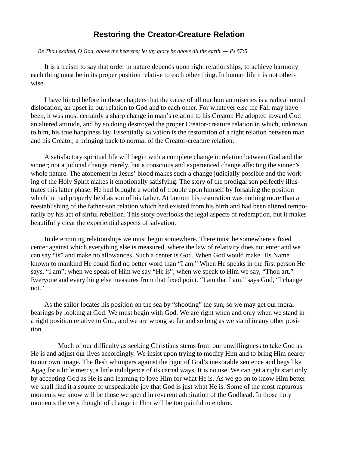#### **Restoring the Creator-Creature Relation**

#### *Be Thou exalted, O God, above the heavens; let thy glory be above all the earth. — Ps 57:5*

It is a truism to say that order in nature depends upon right relationships; to achieve harmony each thing must be in its proper position relative to each other thing. In human life it is not otherwise.

I have hinted before in these chapters that the cause of all our human miseries is a radical moral dislocation, an upset in our relation to God and to each other. For whatever else the Fall may have been, it was most certainly a sharp change in man's relation to his Creator. He adopted toward God an altered attitude, and by so doing destroyed the proper Creator-creature relation in which, unknown to him, his true happiness lay. Essentially salvation is the restoration of a right relation between man and his Creator, a bringing back to normal of the Creator-creature relation.

A satisfactory spiritual life will begin with a complete change in relation between God and the sinner; not a judicial change merely, but a conscious and experienced change affecting the sinner's whole nature. The atonement in Jesus' blood makes such a change judicially possible and the working of the Holy Spirit makes it emotionally satisfying. The story of the prodigal son perfectly illustrates this latter phase. He had brought a world of trouble upon himself by forsaking the position which he had properly held as son of his father. At bottom his restoration was nothing more than a reestablishing of the father-son relation which had existed from his birth and had been altered temporarily by his act of sinful rebellion. This story overlooks the legal aspects of redemption, but it makes beautifully clear the experiential aspects of salvation.

In determining relationships we must begin somewhere. There must be somewhere a fixed center against which everything else is measured, where the law of relativity does not enter and we can say "is" and make no allowances. Such a center is God. When God would make His Name known to mankind He could find no better word than "I am." When He speaks in the first person He says, "I am"; when we speak of Him we say "He is"; when we speak to Him we say, "Thou art." Everyone and everything else measures from that fixed point. "I am that I am," says God, "I change not."

As the sailor locates his position on the sea by "shooting" the sun, so we may get our moral bearings by looking at God. We must begin with God. We are right when and only when we stand in a right position relative to God, and we are wrong so far and so long as we stand in any other position.

 Much of our difficulty as seeking Christians stems from our unwillingness to take God as He is and adjust our lives accordingly. We insist upon trying to modify Him and to bring Him nearer to our own image. The flesh whimpers against the rigor of God's inexorable sentence and begs like Agag for a little mercy, a little indulgence of its carnal ways. It is no use. We can get a right start only by accepting God as He is and learning to love Him for what He is. As we go on to know Him better we shall find it a source of unspeakable joy that God is just what He is. Some of the most rapturous moments we know will be those we spend in reverent admiration of the Godhead. In those holy moments the very thought of change in Him will be too painful to endure.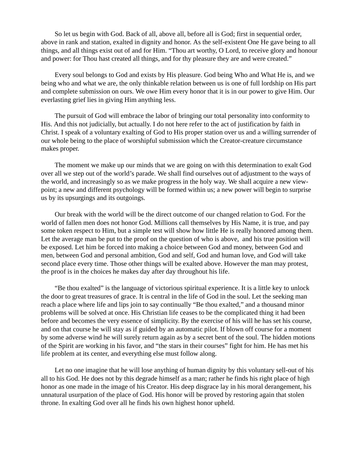So let us begin with God. Back of all, above all, before all is God; first in sequential order, above in rank and station, exalted in dignity and honor. As the self-existent One He gave being to all things, and all things exist out of and for Him. "Thou art worthy, O Lord, to receive glory and honour and power: for Thou hast created all things, and for thy pleasure they are and were created."

Every soul belongs to God and exists by His pleasure. God being Who and What He is, and we being who and what we are, the only thinkable relation between us is one of full lordship on His part and complete submission on ours. We owe Him every honor that it is in our power to give Him. Our everlasting grief lies in giving Him anything less.

The pursuit of God will embrace the labor of bringing our total personality into conformity to His. And this not judicially, but actually. I do not here refer to the act of justification by faith in Christ. I speak of a voluntary exalting of God to His proper station over us and a willing surrender of our whole being to the place of worshipful submission which the Creator-creature circumstance makes proper.

The moment we make up our minds that we are going on with this determination to exalt God over all we step out of the world's parade. We shall find ourselves out of adjustment to the ways of the world, and increasingly so as we make progress in the holy way. We shall acquire a new viewpoint; a new and different psychology will be formed within us; a new power will begin to surprise us by its upsurgings and its outgoings.

Our break with the world will be the direct outcome of our changed relation to God. For the world of fallen men does not honor God. Millions call themselves by His Name, it is true, and pay some token respect to Him, but a simple test will show how little He is really honored among them. Let the average man be put to the proof on the question of who is above, and his true position will be exposed. Let him be forced into making a choice between God and money, between God and men, between God and personal ambition, God and self, God and human love, and God will take second place every time. Those other things will be exalted above. However the man may protest, the proof is in the choices he makes day after day throughout his life.

"Be thou exalted" is the language of victorious spiritual experience. It is a little key to unlock the door to great treasures of grace. It is central in the life of God in the soul. Let the seeking man reach a place where life and lips join to say continually "Be thou exalted," and a thousand minor problems will be solved at once. His Christian life ceases to be the complicated thing it had been before and becomes the very essence of simplicity. By the exercise of his will he has set his course, and on that course he will stay as if guided by an automatic pilot. If blown off course for a moment by some adverse wind he will surely return again as by a secret bent of the soul. The hidden motions of the Spirit are working in his favor, and "the stars in their courses" fight for him. He has met his life problem at its center, and everything else must follow along.

Let no one imagine that he will lose anything of human dignity by this voluntary sell-out of his all to his God. He does not by this degrade himself as a man; rather he finds his right place of high honor as one made in the image of his Creator. His deep disgrace lay in his moral derangement, his unnatural usurpation of the place of God. His honor will be proved by restoring again that stolen throne. In exalting God over all he finds his own highest honor upheld.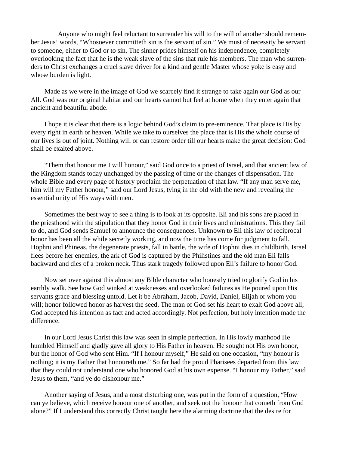Anyone who might feel reluctant to surrender his will to the will of another should remember Jesus' words, "Whosoever committeth sin is the servant of sin." We must of necessity be servant to someone, either to God or to sin. The sinner prides himself on his independence, completely overlooking the fact that he is the weak slave of the sins that rule his members. The man who surrenders to Christ exchanges a cruel slave driver for a kind and gentle Master whose yoke is easy and whose burden is light.

Made as we were in the image of God we scarcely find it strange to take again our God as our All. God was our original habitat and our hearts cannot but feel at home when they enter again that ancient and beautiful abode.

I hope it is clear that there is a logic behind God's claim to pre-eminence. That place is His by every right in earth or heaven. While we take to ourselves the place that is His the whole course of our lives is out of joint. Nothing will or can restore order till our hearts make the great decision: God shall be exalted above.

"Them that honour me I will honour," said God once to a priest of Israel, and that ancient law of the Kingdom stands today unchanged by the passing of time or the changes of dispensation. The whole Bible and every page of history proclaim the perpetuation of that law. "If any man serve me, him will my Father honour," said our Lord Jesus, tying in the old with the new and revealing the essential unity of His ways with men.

Sometimes the best way to see a thing is to look at its opposite. Eli and his sons are placed in the priesthood with the stipulation that they honor God in their lives and ministrations. This they fail to do, and God sends Samuel to announce the consequences. Unknown to Eli this law of reciprocal honor has been all the while secretly working, and now the time has come for judgment to fall. Hophni and Phineas, the degenerate priests, fall in battle, the wife of Hophni dies in childbirth, Israel flees before her enemies, the ark of God is captured by the Philistines and the old man Eli falls backward and dies of a broken neck. Thus stark tragedy followed upon Eli's failure to honor God.

Now set over against this almost any Bible character who honestly tried to glorify God in his earthly walk. See how God winked at weaknesses and overlooked failures as He poured upon His servants grace and blessing untold. Let it be Abraham, Jacob, David, Daniel, Elijah or whom you will; honor followed honor as harvest the seed. The man of God set his heart to exalt God above all; God accepted his intention as fact and acted accordingly. Not perfection, but holy intention made the difference.

In our Lord Jesus Christ this law was seen in simple perfection. In His lowly manhood He humbled Himself and gladly gave all glory to His Father in heaven. He sought not His own honor, but the honor of God who sent Him. "If I honour myself," He said on one occasion, "my honour is nothing; it is my Father that honoureth me." So far had the proud Pharisees departed from this law that they could not understand one who honored God at his own expense. "I honour my Father," said Jesus to them, "and ye do dishonour me."

Another saying of Jesus, and a most disturbing one, was put in the form of a question, "How can ye believe, which receive honour one of another, and seek not the honour that cometh from God alone?" If I understand this correctly Christ taught here the alarming doctrine that the desire for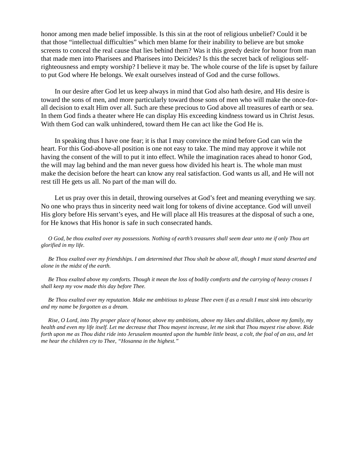honor among men made belief impossible. Is this sin at the root of religious unbelief? Could it be that those "intellectual difficulties" which men blame for their inability to believe are but smoke screens to conceal the real cause that lies behind them? Was it this greedy desire for honor from man that made men into Pharisees and Pharisees into Deicides? Is this the secret back of religious selfrighteousness and empty worship? I believe it may be. The whole course of the life is upset by failure to put God where He belongs. We exalt ourselves instead of God and the curse follows.

In our desire after God let us keep always in mind that God also hath desire, and His desire is toward the sons of men, and more particularly toward those sons of men who will make the once-forall decision to exalt Him over all. Such are these precious to God above all treasures of earth or sea. In them God finds a theater where He can display His exceeding kindness toward us in Christ Jesus. With them God can walk unhindered, toward them He can act like the God He is.

In speaking thus I have one fear; it is that I may convince the mind before God can win the heart. For this God-above-all position is one not easy to take. The mind may approve it while not having the consent of the will to put it into effect. While the imagination races ahead to honor God, the will may lag behind and the man never guess how divided his heart is. The whole man must make the decision before the heart can know any real satisfaction. God wants us all, and He will not rest till He gets us all. No part of the man will do.

Let us pray over this in detail, throwing ourselves at God's feet and meaning everything we say. No one who prays thus in sincerity need wait long for tokens of divine acceptance. God will unveil His glory before His servant's eyes, and He will place all His treasures at the disposal of such a one, for He knows that His honor is safe in such consecrated hands.

 *O God, be thou exalted over my possessions. Nothing of earth's treasures shall seem dear unto me if only Thou art glorified in my life.*

 *Be Thou exalted over my friendships. I am determined that Thou shalt be above all, though I must stand deserted and alone in the midst of the earth.*

 *Be Thou exalted above my comforts. Though it mean the loss of bodily comforts and the carrying of heavy crosses I shall keep my vow made this day before Thee.*

 *Be Thou exalted over my reputation. Make me ambitious to please Thee even if as a result I must sink into obscurity and my name be forgotten as a dream.*

 *Rise, O Lord, into Thy proper place of honor, above my ambitions, above my likes and dislikes, above my family, my health and even my life itself. Let me decrease that Thou mayest increase, let me sink that Thou mayest rise above. Ride forth upon me as Thou didst ride into Jerusalem mounted upon the humble little beast, a colt, the foal of an ass, and let me hear the children cry to Thee, "Hosanna in the highest."*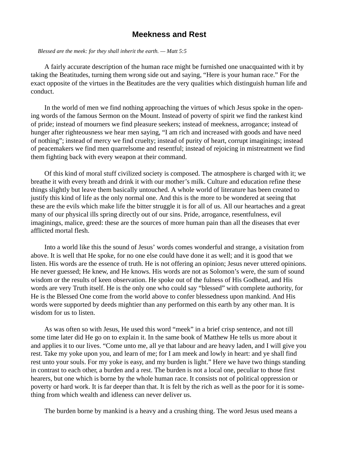#### **Meekness and Rest**

 *Blessed are the meek: for they shall inherit the earth. — Matt 5:5*

A fairly accurate description of the human race might be furnished one unacquainted with it by taking the Beatitudes, turning them wrong side out and saying, "Here is your human race." For the exact opposite of the virtues in the Beatitudes are the very qualities which distinguish human life and conduct.

In the world of men we find nothing approaching the virtues of which Jesus spoke in the opening words of the famous Sermon on the Mount. Instead of poverty of spirit we find the rankest kind of pride; instead of mourners we find pleasure seekers; instead of meekness, arrogance; instead of hunger after righteousness we hear men saying, "I am rich and increased with goods and have need of nothing"; instead of mercy we find cruelty; instead of purity of heart, corrupt imaginings; instead of peacemakers we find men quarrelsome and resentful; instead of rejoicing in mistreatment we find them fighting back with every weapon at their command.

Of this kind of moral stuff civilized society is composed. The atmosphere is charged with it; we breathe it with every breath and drink it with our mother's milk. Culture and education refine these things slightly but leave them basically untouched. A whole world of literature has been created to justify this kind of life as the only normal one. And this is the more to be wondered at seeing that these are the evils which make life the bitter struggle it is for all of us. All our heartaches and a great many of our physical ills spring directly out of our sins. Pride, arrogance, resentfulness, evil imaginings, malice, greed: these are the sources of more human pain than all the diseases that ever afflicted mortal flesh.

Into a world like this the sound of Jesus' words comes wonderful and strange, a visitation from above. It is well that He spoke, for no one else could have done it as well; and it is good that we listen. His words are the essence of truth. He is not offering an opinion; Jesus never uttered opinions. He never guessed; He knew, and He knows. His words are not as Solomon's were, the sum of sound wisdom or the results of keen observation. He spoke out of the fulness of His Godhead, and His words are very Truth itself. He is the only one who could say "blessed" with complete authority, for He is the Blessed One come from the world above to confer blessedness upon mankind. And His words were supported by deeds mightier than any performed on this earth by any other man. It is wisdom for us to listen.

As was often so with Jesus, He used this word "meek" in a brief crisp sentence, and not till some time later did He go on to explain it. In the same book of Matthew He tells us more about it and applies it to our lives. "Come unto me, all ye that labour and are heavy laden, and I will give you rest. Take my yoke upon you, and learn of me; for I am meek and lowly in heart: and ye shall find rest unto your souls. For my yoke is easy, and my burden is light." Here we have two things standing in contrast to each other, a burden and a rest. The burden is not a local one, peculiar to those first hearers, but one which is borne by the whole human race. It consists not of political oppression or poverty or hard work. It is far deeper than that. It is felt by the rich as well as the poor for it is something from which wealth and idleness can never deliver us.

The burden borne by mankind is a heavy and a crushing thing. The word Jesus used means a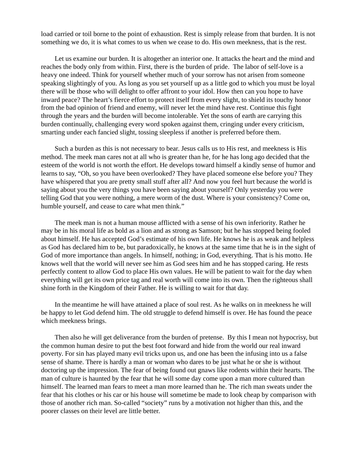load carried or toil borne to the point of exhaustion. Rest is simply release from that burden. It is not something we do, it is what comes to us when we cease to do. His own meekness, that is the rest.

Let us examine our burden. It is altogether an interior one. It attacks the heart and the mind and reaches the body only from within. First, there is the burden of pride. The labor of self-love is a heavy one indeed. Think for yourself whether much of your sorrow has not arisen from someone speaking slightingly of you. As long as you set yourself up as a little god to which you must be loyal there will be those who will delight to offer affront to your idol. How then can you hope to have inward peace? The heart's fierce effort to protect itself from every slight, to shield its touchy honor from the bad opinion of friend and enemy, will never let the mind have rest. Continue this fight through the years and the burden will become intolerable. Yet the sons of earth are carrying this burden continually, challenging every word spoken against them, cringing under every criticism, smarting under each fancied slight, tossing sleepless if another is preferred before them.

Such a burden as this is not necessary to bear. Jesus calls us to His rest, and meekness is His method. The meek man cares not at all who is greater than he, for he has long ago decided that the esteem of the world is not worth the effort. He develops toward himself a kindly sense of humor and learns to say, "Oh, so you have been overlooked? They have placed someone else before you? They have whispered that you are pretty small stuff after all? And now you feel hurt because the world is saying about you the very things you have been saying about yourself? Only yesterday you were telling God that you were nothing, a mere worm of the dust. Where is your consistency? Come on, humble yourself, and cease to care what men think."

The meek man is not a human mouse afflicted with a sense of his own inferiority. Rather he may be in his moral life as bold as a lion and as strong as Samson; but he has stopped being fooled about himself. He has accepted God's estimate of his own life. He knows he is as weak and helpless as God has declared him to be, but paradoxically, he knows at the same time that he is in the sight of God of more importance than angels. In himself, nothing; in God, everything. That is his motto. He knows well that the world will never see him as God sees him and he has stopped caring. He rests perfectly content to allow God to place His own values. He will be patient to wait for the day when everything will get its own price tag and real worth will come into its own. Then the righteous shall shine forth in the Kingdom of their Father. He is willing to wait for that day.

In the meantime he will have attained a place of soul rest. As he walks on in meekness he will be happy to let God defend him. The old struggle to defend himself is over. He has found the peace which meekness brings.

Then also he will get deliverance from the burden of pretense. By this I mean not hypocrisy, but the common human desire to put the best foot forward and hide from the world our real inward poverty. For sin has played many evil tricks upon us, and one has been the infusing into us a false sense of shame. There is hardly a man or woman who dares to be just what he or she is without doctoring up the impression. The fear of being found out gnaws like rodents within their hearts. The man of culture is haunted by the fear that he will some day come upon a man more cultured than himself. The learned man fears to meet a man more learned than he. The rich man sweats under the fear that his clothes or his car or his house will sometime be made to look cheap by comparison with those of another rich man. So-called "society" runs by a motivation not higher than this, and the poorer classes on their level are little better.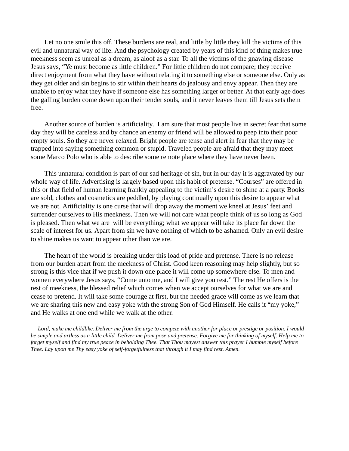Let no one smile this off. These burdens are real, and little by little they kill the victims of this evil and unnatural way of life. And the psychology created by years of this kind of thing makes true meekness seem as unreal as a dream, as aloof as a star. To all the victims of the gnawing disease Jesus says, "Ye must become as little children." For little children do not compare; they receive direct enjoyment from what they have without relating it to something else or someone else. Only as they get older and sin begins to stir within their hearts do jealousy and envy appear. Then they are unable to enjoy what they have if someone else has something larger or better. At that early age does the galling burden come down upon their tender souls, and it never leaves them till Jesus sets them free.

Another source of burden is artificiality. I am sure that most people live in secret fear that some day they will be careless and by chance an enemy or friend will be allowed to peep into their poor empty souls. So they are never relaxed. Bright people are tense and alert in fear that they may be trapped into saying something common or stupid. Traveled people are afraid that they may meet some Marco Polo who is able to describe some remote place where they have never been.

This unnatural condition is part of our sad heritage of sin, but in our day it is aggravated by our whole way of life. Advertising is largely based upon this habit of pretense. "Courses" are offered in this or that field of human learning frankly appealing to the victim's desire to shine at a party. Books are sold, clothes and cosmetics are peddled, by playing continually upon this desire to appear what we are not. Artificiality is one curse that will drop away the moment we kneel at Jesus' feet and surrender ourselves to His meekness. Then we will not care what people think of us so long as God is pleased. Then what we are will be everything; what we appear will take its place far down the scale of interest for us. Apart from sin we have nothing of which to be ashamed. Only an evil desire to shine makes us want to appear other than we are.

The heart of the world is breaking under this load of pride and pretense. There is no release from our burden apart from the meekness of Christ. Good keen reasoning may help slightly, but so strong is this vice that if we push it down one place it will come up somewhere else. To men and women everywhere Jesus says, "Come unto me, and I will give you rest." The rest He offers is the rest of meekness, the blessed relief which comes when we accept ourselves for what we are and cease to pretend. It will take some courage at first, but the needed grace will come as we learn that we are sharing this new and easy yoke with the strong Son of God Himself. He calls it "my yoke," and He walks at one end while we walk at the other.

 *Lord, make me childlike. Deliver me from the urge to compete with another for place or prestige or position. I would be simple and artless as a little child. Deliver me from pose and pretense. Forgive me for thinking of myself. Help me to forget myself and find my true peace in beholding Thee. That Thou mayest answer this prayer I humble myself before Thee. Lay upon me Thy easy yoke of self-forgetfulness that through it I may find rest. Amen.*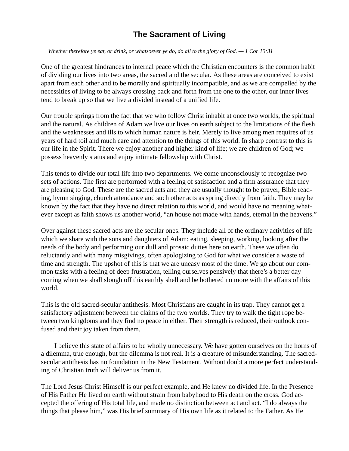# **The Sacrament of Living**

 *Whether therefore ye eat, or drink, or whatsoever ye do, do all to the glory of God. — 1 Cor 10:31*

One of the greatest hindrances to internal peace which the Christian encounters is the common habit of dividing our lives into two areas, the sacred and the secular. As these areas are conceived to exist apart from each other and to be morally and spiritually incompatible, and as we are compelled by the necessities of living to be always crossing back and forth from the one to the other, our inner lives tend to break up so that we live a divided instead of a unified life.

Our trouble springs from the fact that we who follow Christ inhabit at once two worlds, the spiritual and the natural. As children of Adam we live our lives on earth subject to the limitations of the flesh and the weaknesses and ills to which human nature is heir. Merely to live among men requires of us years of hard toil and much care and attention to the things of this world. In sharp contrast to this is our life in the Spirit. There we enjoy another and higher kind of life; we are children of God; we possess heavenly status and enjoy intimate fellowship with Christ.

This tends to divide our total life into two departments. We come unconsciously to recognize two sets of actions. The first are performed with a feeling of satisfaction and a firm assurance that they are pleasing to God. These are the sacred acts and they are usually thought to be prayer, Bible reading, hymn singing, church attendance and such other acts as spring directly from faith. They may be known by the fact that they have no direct relation to this world, and would have no meaning whatever except as faith shows us another world, "an house not made with hands, eternal in the heavens."

Over against these sacred acts are the secular ones. They include all of the ordinary activities of life which we share with the sons and daughters of Adam: eating, sleeping, working, looking after the needs of the body and performing our dull and prosaic duties here on earth. These we often do reluctantly and with many misgivings, often apologizing to God for what we consider a waste of time and strength. The upshot of this is that we are uneasy most of the time. We go about our common tasks with a feeling of deep frustration, telling ourselves pensively that there's a better day coming when we shall slough off this earthly shell and be bothered no more with the affairs of this world.

This is the old sacred-secular antithesis. Most Christians are caught in its trap. They cannot get a satisfactory adjustment between the claims of the two worlds. They try to walk the tight rope between two kingdoms and they find no peace in either. Their strength is reduced, their outlook confused and their joy taken from them.

 I believe this state of affairs to be wholly unnecessary. We have gotten ourselves on the horns of a dilemma, true enough, but the dilemma is not real. It is a creature of misunderstanding. The sacredsecular antithesis has no foundation in the New Testament. Without doubt a more perfect understanding of Christian truth will deliver us from it.

The Lord Jesus Christ Himself is our perfect example, and He knew no divided life. In the Presence of His Father He lived on earth without strain from babyhood to His death on the cross. God accepted the offering of His total life, and made no distinction between act and act. "I do always the things that please him," was His brief summary of His own life as it related to the Father. As He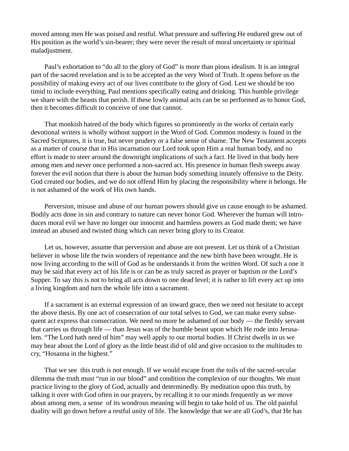moved among men He was poised and restful. What pressure and suffering He endured grew out of His position as the world's sin-bearer; they were never the result of moral uncertainty or spiritual maladjustment.

Paul's exhortation to "do all to the glory of God" is more than pious idealism. It is an integral part of the sacred revelation and is to be accepted as the very Word of Truth. It opens before us the possibility of making every act of our lives contribute to the glory of God. Lest we should be too timid to include everything, Paul mentions specifically eating and drinking. This humble privilege we share with the beasts that perish. If these lowly animal acts can be so performed as to honor God, then it becomes difficult to conceive of one that cannot.

That monkish hatred of the body which figures so prominently in the works of certain early devotional writers is wholly without support in the Word of God. Common modesty is found in the Sacred Scriptures, it is true, but never prudery or a false sense of shame. The New Testament accepts as a matter of course that in His incarnation our Lord took upon Him a real human body, and no effort is made to steer around the downright implications of such a fact. He lived in that body here among men and never once performed a non-sacred act. His presence in human flesh sweeps away forever the evil notion that there is about the human body something innately offensive to the Deity. God created our bodies, and we do not offend Him by placing the responsibility where it belongs. He is not ashamed of the work of His own hands.

Perversion, misuse and abuse of our human powers should give us cause enough to be ashamed. Bodily acts done in sin and contrary to nature can never honor God. Wherever the human will introduces moral evil we have no longer our innocent and harmless powers as God made them; we have instead an abused and twisted thing which can never bring glory to its Creator.

Let us, however, assume that perversion and abuse are not present. Let us think of a Christian believer in whose life the twin wonders of repentance and the new birth have been wrought. He is now living according to the will of God as he understands it from the written Word. Of such a one it may be said that every act of his life is or can be as truly sacred as prayer or baptism or the Lord's Supper. To say this is not to bring all acts down to one dead level; it is rather to lift every act up into a living kingdom and turn the whole life into a sacrament.

If a sacrament is an external expression of an inward grace, then we need not hesitate to accept the above thesis. By one act of consecration of our total selves to God, we can make every subsequent act express that consecration. We need no more be ashamed of our body — the fleshly servant that carries us through life — than Jesus was of the humble beast upon which He rode into Jerusalem. "The Lord hath need of him" may well apply to our mortal bodies. If Christ dwells in us we may bear about the Lord of glory as the little beast did of old and give occasion to the multitudes to cry, "Hosanna in the highest."

That we see this truth is not enough. If we would escape from the toils of the sacred-secular dilemma the truth must "run in our blood" and condition the complexion of our thoughts. We must practice living to the glory of God, actually and determinedly. By meditation upon this truth, by talking it over with God often in our prayers, by recalling it to our minds frequently as we move about among men, a sense of its wondrous meaning will begin to take hold of us. The old painful duality will go down before a restful unity of life. The knowledge that we are all God's, that He has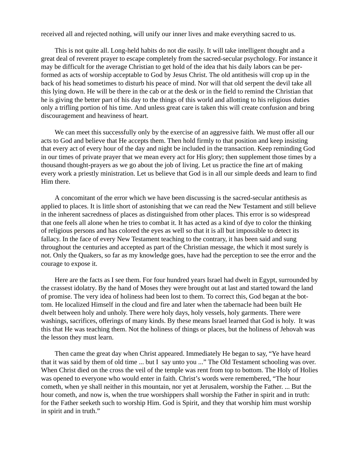received all and rejected nothing, will unify our inner lives and make everything sacred to us.

This is not quite all. Long-held habits do not die easily. It will take intelligent thought and a great deal of reverent prayer to escape completely from the sacred-secular psychology. For instance it may be difficult for the average Christian to get hold of the idea that his daily labors can be performed as acts of worship acceptable to God by Jesus Christ. The old antithesis will crop up in the back of his head sometimes to disturb his peace of mind. Nor will that old serpent the devil take all this lying down. He will be there in the cab or at the desk or in the field to remind the Christian that he is giving the better part of his day to the things of this world and allotting to his religious duties only a trifling portion of his time. And unless great care is taken this will create confusion and bring discouragement and heaviness of heart.

We can meet this successfully only by the exercise of an aggressive faith. We must offer all our acts to God and believe that He accepts them. Then hold firmly to that position and keep insisting that every act of every hour of the day and night be included in the transaction. Keep reminding God in our times of private prayer that we mean every act for His glory; then supplement those times by a thousand thought-prayers as we go about the job of living. Let us practice the fine art of making every work a priestly ministration. Let us believe that God is in all our simple deeds and learn to find Him there.

A concomitant of the error which we have been discussing is the sacred-secular antithesis as applied to places. It is little short of astonishing that we can read the New Testament and still believe in the inherent sacredness of places as distinguished from other places. This error is so widespread that one feels all alone when he tries to combat it. It has acted as a kind of dye to color the thinking of religious persons and has colored the eyes as well so that it is all but impossible to detect its fallacy. In the face of every New Testament teaching to the contrary, it has been said and sung throughout the centuries and accepted as part of the Christian message, the which it most surely is not. Only the Quakers, so far as my knowledge goes, have had the perception to see the error and the courage to expose it.

Here are the facts as I see them. For four hundred years Israel had dwelt in Egypt, surrounded by the crassest idolatry. By the hand of Moses they were brought out at last and started toward the land of promise. The very idea of holiness had been lost to them. To correct this, God began at the bottom. He localized Himself in the cloud and fire and later when the tabernacle had been built He dwelt between holy and unholy. There were holy days, holy vessels, holy garments. There were washings, sacrifices, offerings of many kinds. By these means Israel learned that God is holy. It was this that He was teaching them. Not the holiness of things or places, but the holiness of Jehovah was the lesson they must learn.

Then came the great day when Christ appeared. Immediately He began to say, "Ye have heard that it was said by them of old time ... but I say unto you ..." The Old Testament schooling was over. When Christ died on the cross the veil of the temple was rent from top to bottom. The Holy of Holies was opened to everyone who would enter in faith. Christ's words were remembered, "The hour cometh, when ye shall neither in this mountain, nor yet at Jerusalem, worship the Father. ... But the hour cometh, and now is, when the true worshippers shall worship the Father in spirit and in truth: for the Father seeketh such to worship Him. God is Spirit, and they that worship him must worship in spirit and in truth."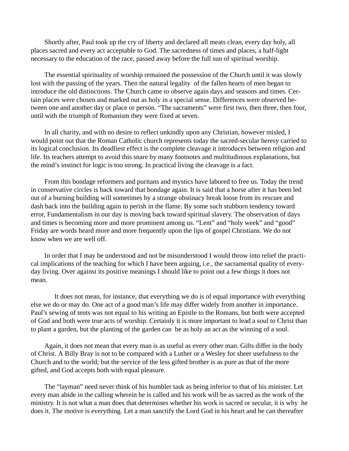Shortly after, Paul took up the cry of liberty and declared all meats clean, every day holy, all places sacred and every act acceptable to God. The sacredness of times and places, a half-light necessary to the education of the race, passed away before the full sun of spiritual worship.

The essential spirituality of worship remained the possession of the Church until it was slowly lost with the passing of the years. Then the natural legality of the fallen hearts of men began to introduce the old distinctions. The Church came to observe again days and seasons and times. Certain places were chosen and marked out as holy in a special sense. Differences were observed between one and another day or place or person. "The sacraments" were first two, then three, then four, until with the triumph of Romanism they were fixed at seven.

In all charity, and with no desire to reflect unkindly upon any Christian, however misled, I would point out that the Roman Catholic church represents today the sacred-secular heresy carried to its logical conclusion. Its deadliest effect is the complete cleavage it introduces between religion and life. Its teachers attempt to avoid this snare by many footnotes and multitudinous explanations, but the mind's instinct for logic is too strong. In practical living the cleavage is a fact.

From this bondage reformers and puritans and mystics have labored to free us. Today the trend in conservative circles is back toward that bondage again. It is said that a horse after it has been led out of a burning building will sometimes by a strange obstinacy break loose from its rescuer and dash back into the building again to perish in the flame. By some such stubborn tendency toward error, Fundamentalism in our day is moving back toward spiritual slavery. The observation of days and times is becoming more and more prominent among us. "Lent" and "holy week" and "good" Friday are words heard more and more frequently upon the lips of gospel Christians. We do not know when we are well off.

In order that I may be understood and not be misunderstood I would throw into relief the practical implications of the teaching for which I have been arguing, i.e., the sacramental quality of everyday living. Over against its positive meanings I should like to point out a few things it does not mean.

 It does not mean, for instance, that everything we do is of equal importance with everything else we do or may do. One act of a good man's life may differ widely from another in importance. Paul's sewing of tents was not equal to his writing an Epistle to the Romans, but both were accepted of God and both were true acts of worship. Certainly it is more important to lead a soul to Christ than to plant a garden, but the planting of the garden can be as holy an act as the winning of a soul.

Again, it does not mean that every man is as useful as every other man. Gifts differ in the body of Christ. A Billy Bray is not to be compared with a Luther or a Wesley for sheer usefulness to the Church and to the world; but the service of the less gifted brother is as pure as that of the more gifted, and God accepts both with equal pleasure.

The "layman" need never think of his humbler task as being inferior to that of his minister. Let every man abide in the calling wherein he is called and his work will be as sacred as the work of the ministry. It is not what a man does that determines whether his work is sacred or secular, it is why he does it. The motive is everything. Let a man sanctify the Lord God in his heart and he can thereafter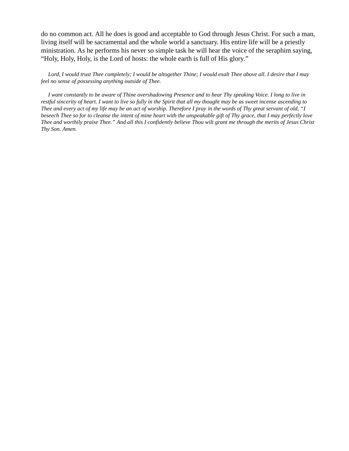do no common act. All he does is good and acceptable to God through Jesus Christ. For such a man, living itself will be sacramental and the whole world a sanctuary. His entire life will be a priestly ministration. As he performs his never so simple task he will hear the voice of the seraphim saying, "Holy, Holy, Holy, is the Lord of hosts: the whole earth is full of His glory."

 *Lord, I would trust Thee completely; I would be altogether Thine; I would exalt Thee above all. I desire that I may feel no sense of possessing anything outside of Thee.*

 *I want constantly to be aware of Thine overshadowing Presence and to hear Thy speaking Voice. I long to live in restful sincerity of heart. I want to live so fully in the Spirit that all my thought may be as sweet incense ascending to Thee and every act of my life may be an act of worship. Therefore I pray in the words of Thy great servant of old, "I beseech Thee so for to cleanse the intent of mine heart with the unspeakable gift of Thy grace, that I may perfectly love Thee and worthily praise Thee." And all this I confidently believe Thou wilt grant me through the merits of Jesus Christ Thy Son. Amen.*